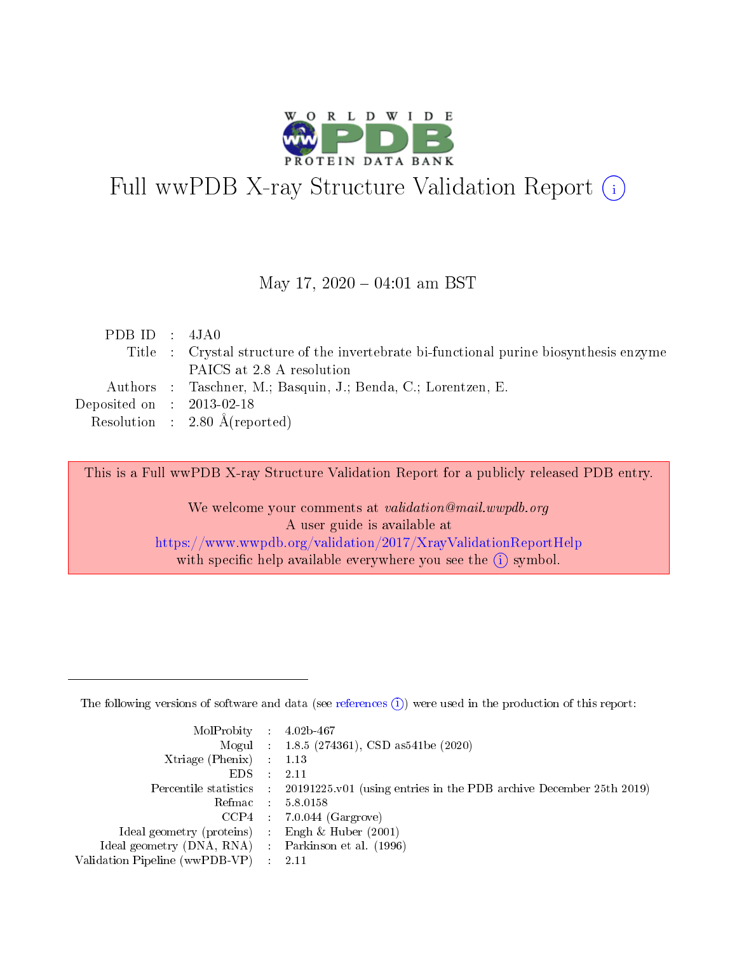

# Full wwPDB X-ray Structure Validation Report (i)

#### May 17,  $2020 - 04:01$  am BST

| PDB ID : $4JA0$                      |                                                                                        |
|--------------------------------------|----------------------------------------------------------------------------------------|
|                                      | Title : Crystal structure of the invertebrate bi-functional purine biosynthesis enzyme |
|                                      | PAICS at 2.8 A resolution                                                              |
|                                      | Authors : Taschner, M.; Basquin, J.; Benda, C.; Lorentzen, E.                          |
| Deposited on $\therefore$ 2013-02-18 |                                                                                        |
|                                      | Resolution : $2.80 \text{ Å}$ (reported)                                               |

This is a Full wwPDB X-ray Structure Validation Report for a publicly released PDB entry.

We welcome your comments at validation@mail.wwpdb.org A user guide is available at <https://www.wwpdb.org/validation/2017/XrayValidationReportHelp> with specific help available everywhere you see the  $(i)$  symbol.

The following versions of software and data (see [references](https://www.wwpdb.org/validation/2017/XrayValidationReportHelp#references)  $(1)$ ) were used in the production of this report:

| $MolProbability$ : 4.02b-467                      |                              |                                                                                            |
|---------------------------------------------------|------------------------------|--------------------------------------------------------------------------------------------|
|                                                   |                              | Mogul : 1.8.5 (274361), CSD as 541be (2020)                                                |
| Xtriage (Phenix) $: 1.13$                         |                              |                                                                                            |
| EDS –                                             | $\sim$                       | -2.11                                                                                      |
|                                                   |                              | Percentile statistics : 20191225.v01 (using entries in the PDB archive December 25th 2019) |
| Refmac : 5.8.0158                                 |                              |                                                                                            |
| CCP4                                              |                              | $7.0.044$ (Gargrove)                                                                       |
| Ideal geometry (proteins)                         | $\mathcal{L}_{\mathrm{eff}}$ | Engh & Huber $(2001)$                                                                      |
| Ideal geometry (DNA, RNA) Parkinson et al. (1996) |                              |                                                                                            |
| Validation Pipeline (wwPDB-VP) : 2.11             |                              |                                                                                            |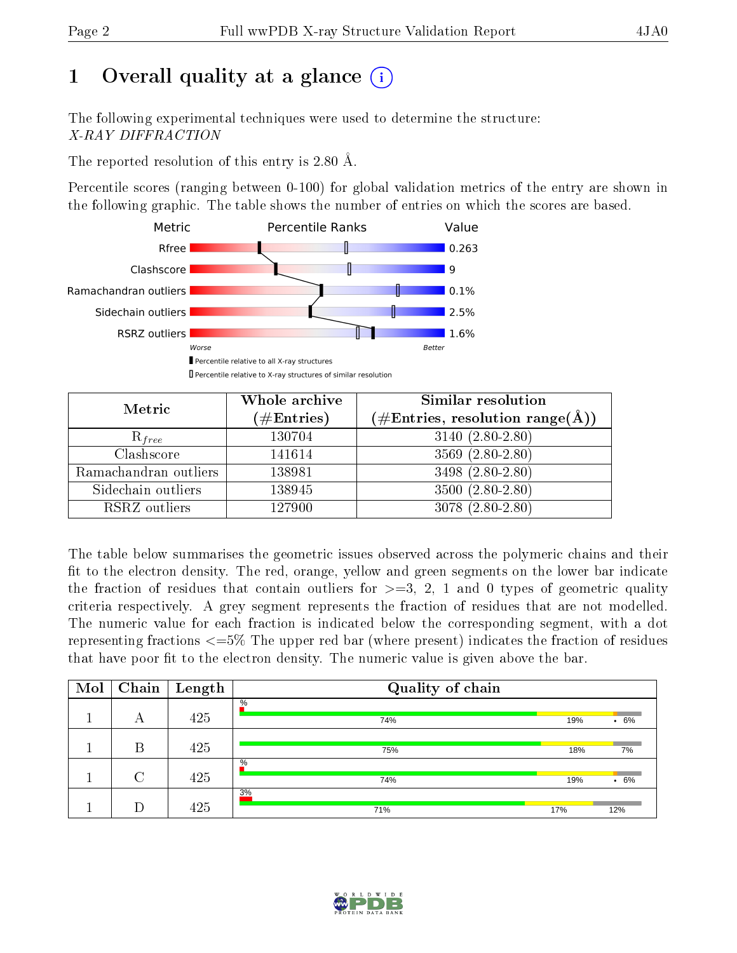# 1 [O](https://www.wwpdb.org/validation/2017/XrayValidationReportHelp#overall_quality)verall quality at a glance  $(i)$

The following experimental techniques were used to determine the structure: X-RAY DIFFRACTION

The reported resolution of this entry is 2.80 Å.

Percentile scores (ranging between 0-100) for global validation metrics of the entry are shown in the following graphic. The table shows the number of entries on which the scores are based.



| Metric                | Whole archive<br>$(\#\text{Entries})$ | Similar resolution<br>$(\#\text{Entries},\,\text{resolution}\,\,\text{range}(\textup{\AA}))$ |
|-----------------------|---------------------------------------|----------------------------------------------------------------------------------------------|
| $R_{free}$            | 130704                                | $3140(2.80-2.80)$                                                                            |
| Clashscore            | 141614                                | $3569(2.80-2.80)$                                                                            |
| Ramachandran outliers | 138981                                | $3498(2.80-2.80)$                                                                            |
| Sidechain outliers    | 138945                                | $3500(2.80-2.80)$                                                                            |
| RSRZ outliers         | 127900                                | $3078(2.80-2.80)$                                                                            |

The table below summarises the geometric issues observed across the polymeric chains and their fit to the electron density. The red, orange, yellow and green segments on the lower bar indicate the fraction of residues that contain outliers for  $>=3, 2, 1$  and 0 types of geometric quality criteria respectively. A grey segment represents the fraction of residues that are not modelled. The numeric value for each fraction is indicated below the corresponding segment, with a dot representing fractions  $\epsilon=5\%$  The upper red bar (where present) indicates the fraction of residues that have poor fit to the electron density. The numeric value is given above the bar.

| Mol | Chain  | $\mathbf{Length}$ | Quality of chain |     |                 |
|-----|--------|-------------------|------------------|-----|-----------------|
|     | А      | 425               | $\%$<br>74%      | 19% | $.6\%$          |
|     | В      | 425               | 75%              | 18% | 7%              |
|     | $\cap$ | 425               | $\%$<br>74%      | 19% | 6%<br>$\bullet$ |
|     |        | 425               | 3%<br>71%        | 17% | 12%             |

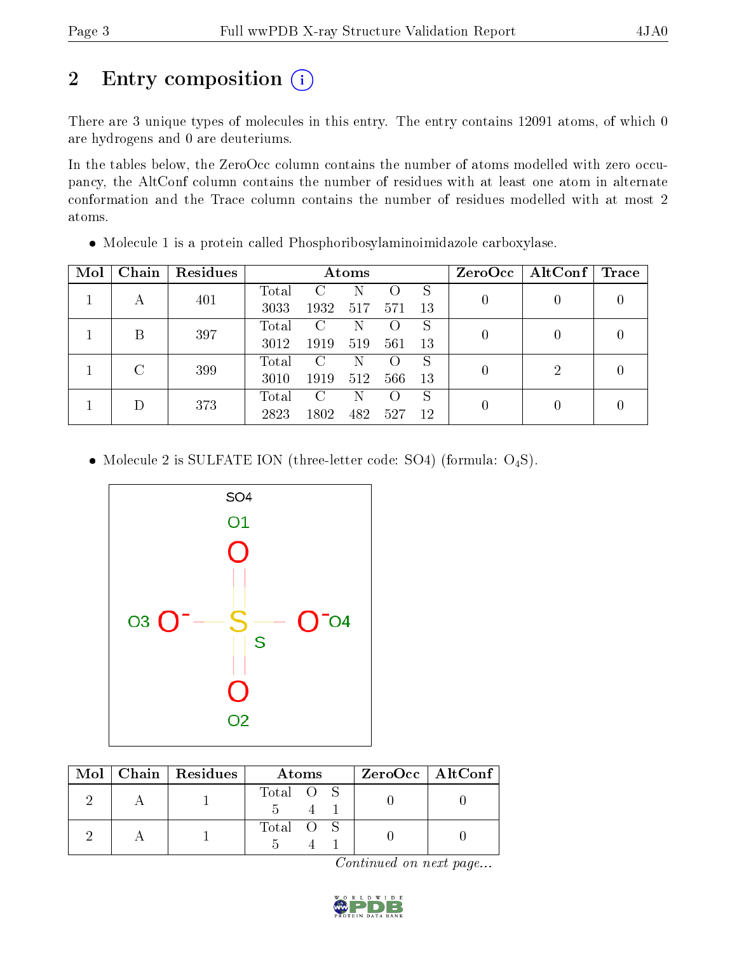# 2 Entry composition (i)

There are 3 unique types of molecules in this entry. The entry contains 12091 atoms, of which 0 are hydrogens and 0 are deuteriums.

In the tables below, the ZeroOcc column contains the number of atoms modelled with zero occupancy, the AltConf column contains the number of residues with at least one atom in alternate conformation and the Trace column contains the number of residues modelled with at most 2 atoms.

| Mol | Chain  | Residues | Atoms |               |     |                  |    |                | $ZeroOcc \mid AltConf \mid$ | $\operatorname{Trace}$ |
|-----|--------|----------|-------|---------------|-----|------------------|----|----------------|-----------------------------|------------------------|
|     |        | 401      | Total | $\mathcal{C}$ | N   |                  | S  | $\theta$       |                             |                        |
|     |        |          | 3033  | 1932          | 517 | 571              | 13 |                |                             |                        |
|     | В      | 397      | Total | $\mathcal{C}$ | N   | $\left( \right)$ | S  |                |                             |                        |
|     |        |          | 3012  | 1919          | 519 | 561              | 13 | $\theta$       |                             |                        |
|     | $\cap$ | 399      | Total | $\mathcal{C}$ | N   | $\left( \right)$ | S  |                | 2                           |                        |
|     |        |          | 3010  | 1919          | 512 | 566              | 13 | $\overline{0}$ |                             |                        |
|     |        | 373      | Total | C             | N   | $\left( \right)$ | S  |                |                             |                        |
|     |        |          | 2823  | 1802          | 482 | 527              | 12 | $\theta$       |                             |                        |

• Molecule 1 is a protein called Phosphoribosylaminoimidazole carboxylase.

• Molecule 2 is SULFATE ION (three-letter code: SO4) (formula:  $O_4S$ ).



|  | Mol   Chain   Residues | Atoms     | $ZeroOcc$   AltConf |
|--|------------------------|-----------|---------------------|
|  |                        | Total O S |                     |
|  |                        | Total O S |                     |

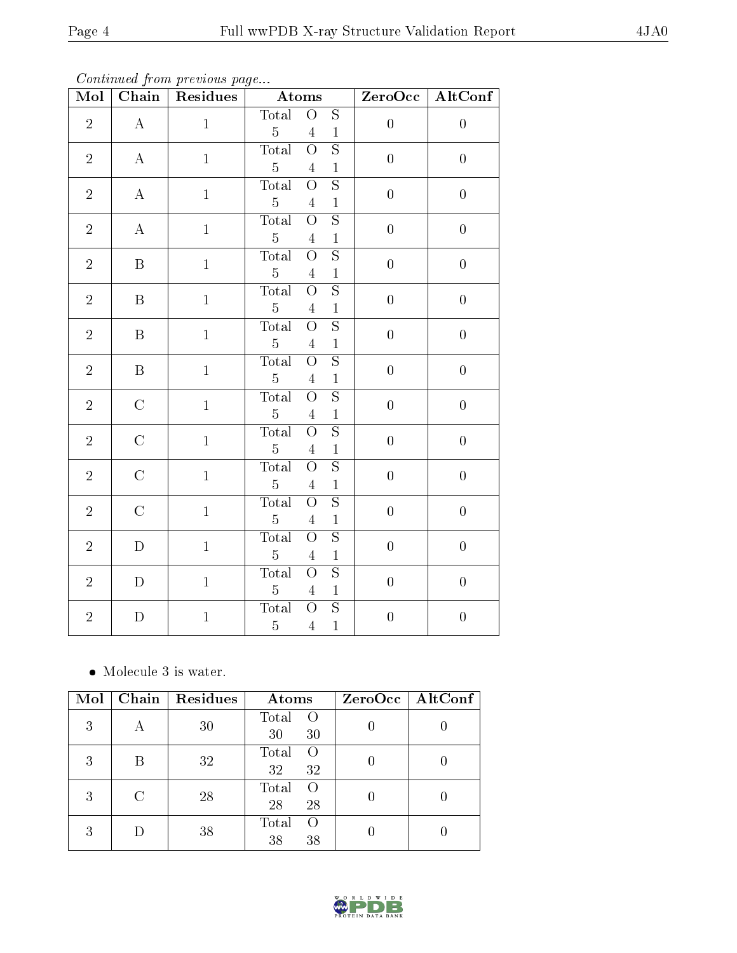Continued from previous page...

| Mol            | Chain                                                 | Residues     | Atoms                                                                                                           | ZeroOcc          | AltConf          |
|----------------|-------------------------------------------------------|--------------|-----------------------------------------------------------------------------------------------------------------|------------------|------------------|
| $\overline{2}$ | $\mathbf{A}% _{T}=\mathbf{A}_{T}\times\mathbf{A}_{T}$ | $\mathbf{1}$ | Total<br>$\overline{S}$<br>$\overline{O}$<br>$\overline{5}$<br>$\overline{4}$<br>$\mathbf{1}$                   | $\boldsymbol{0}$ | $\boldsymbol{0}$ |
| $\overline{2}$ | $\mathbf{A}% _{T}=\mathbf{A}_{T}\times\mathbf{A}_{T}$ | $\mathbf{1}$ | $\overline{S}$<br>$\overline{O}$<br><b>Total</b><br>$\overline{5}$<br>$\overline{4}$<br>$\,1$                   | $\boldsymbol{0}$ | $\boldsymbol{0}$ |
| $\sqrt{2}$     | $\mathbf{A}$                                          | $\mathbf{1}$ | $\overline{S}$<br>Total<br>$\overline{\mathrm{O}}$<br>$\overline{5}$<br>$\overline{4}$<br>$\,1$                 | $\boldsymbol{0}$ | $\boldsymbol{0}$ |
| $\overline{2}$ | $\mathbf{A}$                                          | $\mathbf{1}$ | $\overline{S}$<br><b>Total</b><br>$\overline{\mathrm{o}}$<br>$\bf 5$<br>$\,1\,$<br>$\overline{4}$               | $\boldsymbol{0}$ | $\boldsymbol{0}$ |
| $\sqrt{2}$     | $\, {\bf B}$                                          | $\mathbf{1}$ | $\overline{\mathrm{s}}$<br><b>Total</b><br>$\overline{\mathrm{o}}$<br>$\bf 5$<br>$\sqrt{4}$<br>$\,1$            | $\overline{0}$   | $\overline{0}$   |
| $\overline{2}$ | $\, {\bf B}$                                          | $\mathbf{1}$ | $\overline{\mathrm{s}}$<br><b>Total</b><br>$\overline{O}$<br>$\overline{5}$<br>$\overline{4}$<br>$\,1$          | $\overline{0}$   | $\boldsymbol{0}$ |
| $\overline{2}$ | $\, {\bf B}$                                          | $\mathbf{1}$ | $\overline{\mathrm{s}}$<br><b>Total</b><br>$\overline{O}$<br>$\overline{5}$<br>$\sqrt{4}$<br>$\mathbf{1}$       | $\boldsymbol{0}$ | $\boldsymbol{0}$ |
| $\overline{2}$ | $\, {\bf B}$                                          | $\mathbf{1}$ | $\overline{\mathrm{s}}$<br>Total<br>$\overline{O}$<br>$\bf 5$<br>$\,1$<br>$\overline{4}$                        | $\overline{0}$   | $\overline{0}$   |
| $\sqrt{2}$     | $\mathbf C$                                           | $\mathbf{1}$ | $\overline{S}$<br>Total<br>$\overline{\mathrm{o}}$<br>$\bf 5$<br>$\,1$<br>$\overline{4}$                        | $\boldsymbol{0}$ | $\boldsymbol{0}$ |
| $\overline{2}$ | $\mathbf C$                                           | $\mathbf{1}$ | $\overline{\mathrm{S}}$<br><b>Total</b><br>$\overline{O}$<br>$\overline{5}$<br>$\overline{4}$<br>$\,1$          | $\boldsymbol{0}$ | $\boldsymbol{0}$ |
| $\overline{2}$ | $\mathcal{C}$                                         | $\mathbf{1}$ | $\overline{S}$<br>Total<br>$\overline{\rm O}$<br>$\overline{5}$<br>$\overline{4}$<br>$\,1$                      | $\boldsymbol{0}$ | $\boldsymbol{0}$ |
| $\overline{2}$ | $\mathbf C$                                           | $\mathbf{1}$ | $\overline{\mathrm{s}}$<br>$\overline{\rm{O}}$<br>Total<br>$\bf 5$<br>$\,1$<br>$\overline{4}$                   | $\boldsymbol{0}$ | $\boldsymbol{0}$ |
| $\overline{2}$ | $\mathbf D$                                           | $\,1$        | <b>Total</b><br>$\overline{\mathrm{s}}$<br>$\overline{\mathrm{O}}$<br>$\bf 5$<br>$\overline{4}$<br>$\mathbf{1}$ | $\boldsymbol{0}$ | $\boldsymbol{0}$ |
| $\overline{2}$ | ${\rm D}$                                             | $\mathbf{1}$ | $\overline{\mathrm{o}}$<br>$\overline{\mathrm{s}}$<br>Total<br>$\bf 5$<br>$\,1$<br>$\overline{4}$               | $\boldsymbol{0}$ | $\boldsymbol{0}$ |
| $\sqrt{2}$     | ${\rm D}$                                             | $\,1$        | $\overline{\mathrm{s}}$<br>Total<br>$\overline{O}$<br>$\bf 5$<br>$\mathbf{1}$<br>$\bf 4$                        | $\boldsymbol{0}$ | $\boldsymbol{0}$ |

 $\bullet\,$  Molecule 3 is water.

| Mol | Chain | Residues | Atoms                         | ZeroOcc   AltConf |
|-----|-------|----------|-------------------------------|-------------------|
| 3   |       | 30       | Total<br>$\Omega$<br>30<br>30 |                   |
| 3   | В     | 32       | Total<br>$\Omega$<br>32<br>32 |                   |
| 3   |       | 28       | Total<br>$\Omega$<br>28<br>28 |                   |
| 3   |       | 38       | Total<br>$\Omega$<br>38<br>38 |                   |

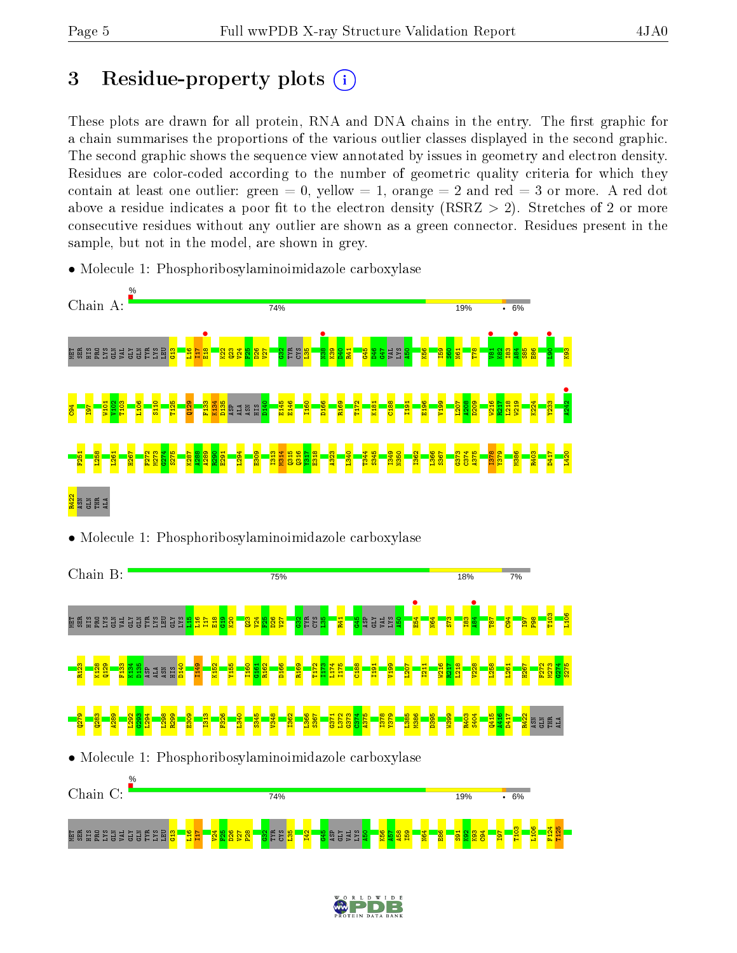# 3 Residue-property plots  $(i)$

These plots are drawn for all protein, RNA and DNA chains in the entry. The first graphic for a chain summarises the proportions of the various outlier classes displayed in the second graphic. The second graphic shows the sequence view annotated by issues in geometry and electron density. Residues are color-coded according to the number of geometric quality criteria for which they contain at least one outlier: green  $= 0$ , yellow  $= 1$ , orange  $= 2$  and red  $= 3$  or more. A red dot above a residue indicates a poor fit to the electron density (RSRZ  $> 2$ ). Stretches of 2 or more consecutive residues without any outlier are shown as a green connector. Residues present in the sample, but not in the model, are shown in grey.

- Chain A: 74% **19%**  $-6%$ **e**<br>E18  $\frac{1}{\sqrt{38}}$  $\bullet$  $\frac{484}{105}$  $\bullet$   $\bullet$ e a a a sig sig a a a <mark>i</mark> TYR  $\frac{2}{3}$  $\frac{9}{2}$  $\overline{H}$  $\frac{22}{2}$  $\overline{23}$  $V^2$  $\frac{55}{25}$ D26  $\overline{\mathbf{v}}$  $^{\circ}_{\rm g}$ CYS  $\frac{1}{25}$  $\frac{8}{2}$  $\frac{1}{2}$ R41  $\frac{45}{5}$ D46 G47 VAL LYS  $\frac{50}{4}$ K56 I59  $\frac{8}{2}$ N61 T78 K82 I83  $\frac{85}{2}$  $\frac{86}{1}$ K93  $\frac{1242}{ }$ K134 K224 W101  $\frac{102}{100}$ T103 L106 S110 T125 Q129 F133 D135 D140 E145 E146 I160 D166 R169 T172 K181 C<sub>188</sub> I191 E196 V199 L207  $\frac{208}{2}$ D209 W216 R217  $\frac{12}{2}$ W219 Y233  $\frac{84}{5}$ I97 ASP ALA ASN HIS F251 L258 L261 H267 F272 M273 G274 S275 K287 A288 A289  $\frac{1}{2}$ E291 L294 E309 I313 M314 Q315  $316$ Y317 E318 A323 L340 T344 S345 I349 N350 I362 L366 S367 G373  $574$ A375 I378 Y379 M386 R403 D417 L420 R422 ASN GLN THR ALA
- Molecule 1: Phosphoribosylaminoimidazole carboxylase





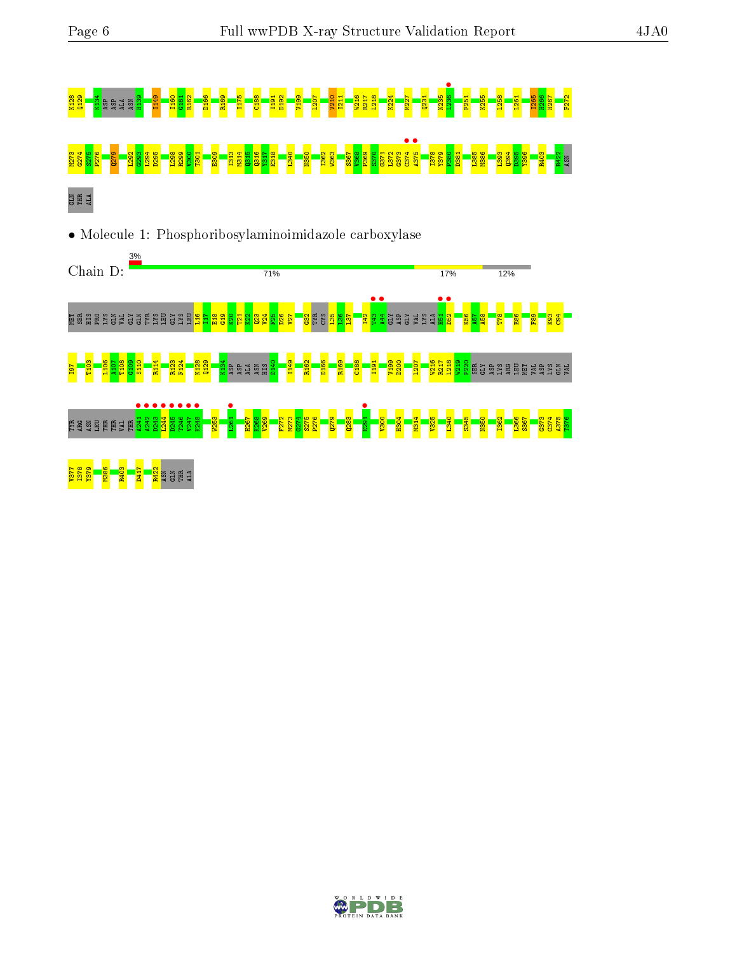





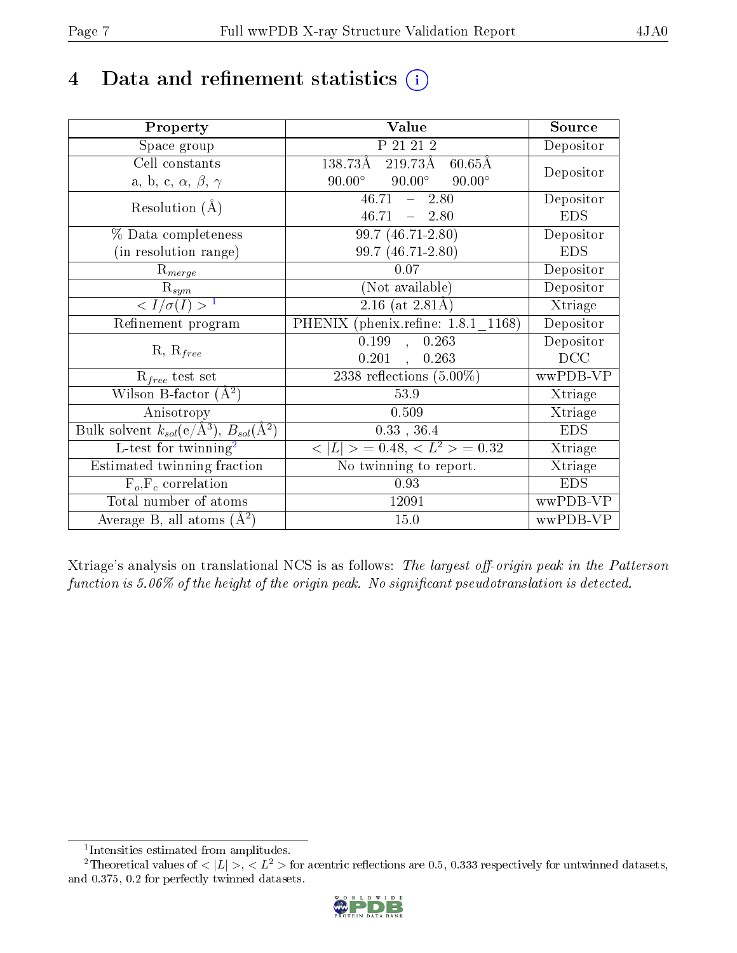# 4 Data and refinement statistics  $(i)$

| Property                                                             | Value                                           | Source     |
|----------------------------------------------------------------------|-------------------------------------------------|------------|
| Space group                                                          | P 21 21 2                                       | Depositor  |
| Cell constants                                                       | 138.73Å<br>219.73Å<br>$60.65\text{\AA}$         |            |
| a, b, c, $\alpha$ , $\beta$ , $\gamma$                               | $90.00^\circ$<br>$90.00^\circ$<br>$90.00^\circ$ | Depositor  |
| Resolution $(A)$                                                     | 46.71<br>$-2.80$                                | Depositor  |
|                                                                      | $46.71 - 2.80$                                  | <b>EDS</b> |
| % Data completeness                                                  | 99.7 (46.71-2.80)                               | Depositor  |
| (in resolution range)                                                | 99.7 (46.71-2.80)                               | <b>EDS</b> |
| $R_{merge}$                                                          | 0.07                                            | Depositor  |
| $\mathrm{R}_{sym}$                                                   | (Not available)                                 | Depositor  |
| $\langle I/\sigma(I)\rangle^{-1}$                                    | $2.16$ (at $2.81\text{\AA}$ )                   | Xtriage    |
| Refinement program                                                   | PHENIX (phenix.refine: 1.8.1_1168)              | Depositor  |
|                                                                      | $\overline{0.199}$ ,<br>0.263                   | Depositor  |
| $R, R_{free}$                                                        | $0.201$ ,<br>0.263                              | DCC        |
| $R_{free}$ test set                                                  | 2338 reflections $(5.00\%)$                     | wwPDB-VP   |
| Wilson B-factor $(\AA^2)$                                            | 53.9                                            | Xtriage    |
| Anisotropy                                                           | 0.509                                           | Xtriage    |
| Bulk solvent $k_{sol}(e/\mathring{A}^3)$ , $B_{sol}(\mathring{A}^2)$ | $0.33$ , $36.4$                                 | <b>EDS</b> |
| L-test for twinning <sup>2</sup>                                     | $< L >$ = 0.48, $< L^2 >$ = 0.32                | Xtriage    |
| Estimated twinning fraction                                          | No twinning to report.                          | Xtriage    |
| $F_o, F_c$ correlation                                               | 0.93                                            | <b>EDS</b> |
| Total number of atoms                                                | 12091                                           | wwPDB-VP   |
| Average B, all atoms $(A^2)$                                         | 15.0                                            | wwPDB-VP   |

Xtriage's analysis on translational NCS is as follows: The largest off-origin peak in the Patterson function is  $5.06\%$  of the height of the origin peak. No significant pseudotranslation is detected.

<sup>&</sup>lt;sup>2</sup>Theoretical values of  $\langle |L| \rangle$ ,  $\langle L^2 \rangle$  for acentric reflections are 0.5, 0.333 respectively for untwinned datasets, and 0.375, 0.2 for perfectly twinned datasets.



<span id="page-6-1"></span><span id="page-6-0"></span><sup>1</sup> Intensities estimated from amplitudes.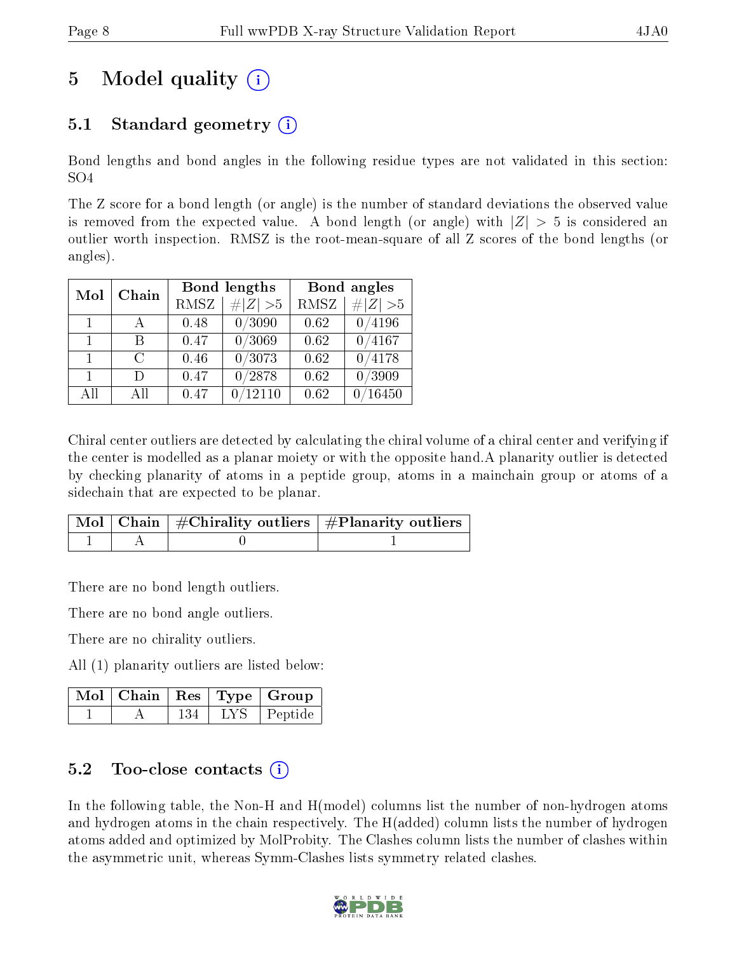# 5 Model quality  $(i)$

### 5.1 Standard geometry  $\overline{()}$

Bond lengths and bond angles in the following residue types are not validated in this section: SO4

The Z score for a bond length (or angle) is the number of standard deviations the observed value is removed from the expected value. A bond length (or angle) with  $|Z| > 5$  is considered an outlier worth inspection. RMSZ is the root-mean-square of all Z scores of the bond lengths (or angles).

| Mol          | Chain  |             | Bond lengths | Bond angles |            |
|--------------|--------|-------------|--------------|-------------|------------|
|              |        | <b>RMSZ</b> | # $ Z  > 5$  | <b>RMSZ</b> | H Z <br>>5 |
| $\mathbf{1}$ |        | 0.48        | 0/3090       | 0.62        | 0/4196     |
| $\mathbf{1}$ | R      | 0.47        | 0/3069       | 0.62        | 0/4167     |
| $\mathbf{1}$ | $\cap$ | 0.46        | 0/3073       | 0.62        | /4178      |
| 1.           | Ð      | 0.47        | 0/2878       | 0.62        | 0/3909     |
| All          | A 11   | $0.47\,$    | 12110        | 0.62        | 16450      |

Chiral center outliers are detected by calculating the chiral volume of a chiral center and verifying if the center is modelled as a planar moiety or with the opposite hand.A planarity outlier is detected by checking planarity of atoms in a peptide group, atoms in a mainchain group or atoms of a sidechain that are expected to be planar.

|  | $\mid$ Mol $\mid$ Chain $\mid$ #Chirality outliers $\mid$ #Planarity outliers $\mid$ |
|--|--------------------------------------------------------------------------------------|
|  |                                                                                      |

There are no bond length outliers.

There are no bond angle outliers.

There are no chirality outliers.

All (1) planarity outliers are listed below:

|  |     | $\overline{\text{Mol}}$   Chain   Res   Type   Group |
|--|-----|------------------------------------------------------|
|  | LYS | Peptide                                              |

### $5.2$  Too-close contacts  $(i)$

In the following table, the Non-H and H(model) columns list the number of non-hydrogen atoms and hydrogen atoms in the chain respectively. The H(added) column lists the number of hydrogen atoms added and optimized by MolProbity. The Clashes column lists the number of clashes within the asymmetric unit, whereas Symm-Clashes lists symmetry related clashes.

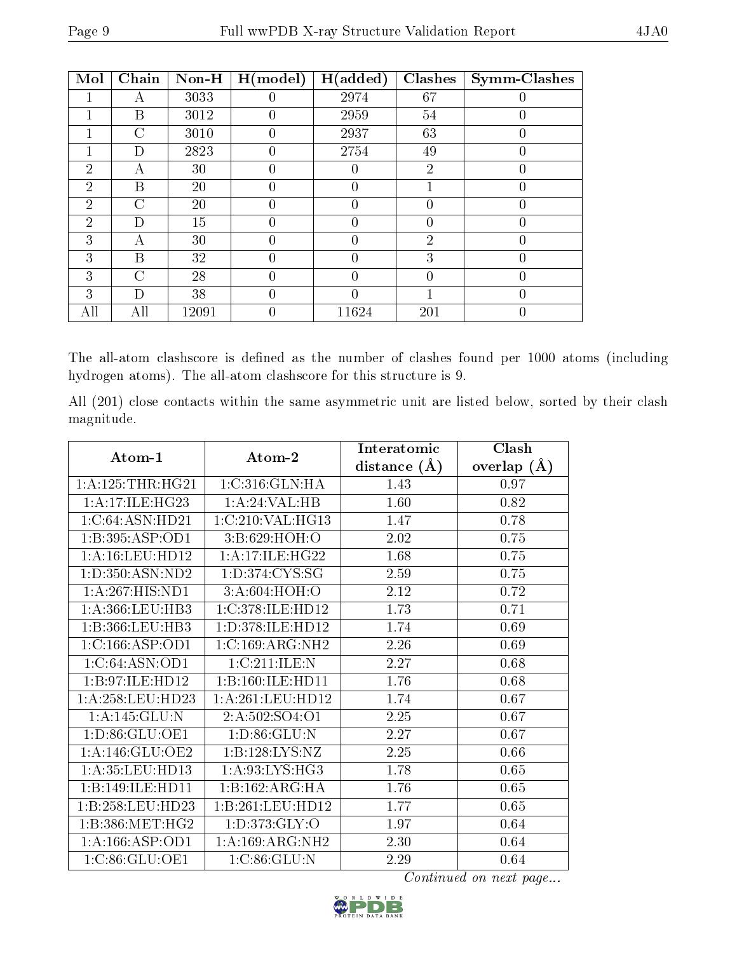| Mol            | Chain | Non-H | H (model) | H(added) | Clashes        | <b>Symm-Clashes</b> |
|----------------|-------|-------|-----------|----------|----------------|---------------------|
|                | А     | 3033  |           | 2974     | 67             |                     |
|                | В     | 3012  | 0         | 2959     | 54             | 0                   |
|                | C     | 3010  | 0         | 2937     | 63             | 0                   |
|                | D     | 2823  | 0         | 2754     | 49             | $\theta$            |
| $\overline{2}$ | А     | 30    | 0         | 0        | $\overline{2}$ | 0                   |
| $\overline{2}$ | B     | 20    |           |          |                |                     |
| $\overline{2}$ | С     | 20    | 0         | 0        | 0              | 0                   |
| $\overline{2}$ | D)    | 15    | 0         | 0        | 0              | $\theta$            |
| 3              | А     | 30    |           | 0        | $\overline{2}$ | 0                   |
| 3              | В     | 32    | 0         | 0        | 3              | 0                   |
| 3              | C     | 28    |           |          |                | $\overline{0}$      |
| 3              | D     | 38    | 0         | 0        |                | $\overline{0}$      |
| All            | All   | 12091 |           | 11624    | 201            |                     |

The all-atom clashscore is defined as the number of clashes found per 1000 atoms (including hydrogen atoms). The all-atom clashscore for this structure is 9.

All (201) close contacts within the same asymmetric unit are listed below, sorted by their clash magnitude.

| Atom-1               | Atom-2               | Interatomic    | Clash         |
|----------------------|----------------------|----------------|---------------|
|                      |                      | distance $(A)$ | overlap $(A)$ |
| 1: A: 125: THR: HG21 | 1:C:316:GLN:HA       | 1.43           | 0.97          |
| 1: A:17: ILE: HG23   | 1: A:24:VAL:HB       | 1.60           | 0.82          |
| 1:C:64:ASN:HD21      | 1:C:210:VAL:HG13     | 1.47           | 0.78          |
| 1:B:395:ASP:OD1      | 3:B:629:HOH:O        | 2.02           | 0.75          |
| 1: A: 16: LEU: HD12  | 1:A:17:ILE:HG22      | 1.68           | 0.75          |
| 1: D: 350: ASN: ND2  | 1: D: 374: CYS: SG   | 2.59           | 0.75          |
| 1:A:267:HIS:ND1      | 3:A:604:HOH:O        | 2.12           | 0.72          |
| 1: A: 366: LEU: HB3  | 1:C:378:ILE:HD12     | 1.73           | 0.71          |
| 1:B:366:LEU:HB3      | 1: D: 378: ILE: HD12 | 1.74           | 0.69          |
| 1:C:166:ASP:OD1      | 1:C:169:ARG:NH2      | 2.26           | 0.69          |
| 1:C:64:ASN:OD1       | 1:C:211:ILE:N        | 2.27           | 0.68          |
| 1:B:97:ILE:HD12      | 1:B:160:ILE:HD11     | 1.76           | 0.68          |
| 1:A:258:LEU:HD23     | 1: A:261:LEU:HD12    | 1.74           | 0.67          |
| 1:A:145:GLU:N        | 2:A:502:SO4:O1       | 2.25           | 0.67          |
| 1:D:86:GLU:OE1       | 1: D:86: GLU:N       | 2.27           | 0.67          |
| 1:A:146:GLU:OE2      | 1:B:128:LYS:NZ       | 2.25           | 0.66          |
| 1: A:35:LEU:HD13     | 1:A:93:LYS:HG3       | 1.78           | 0.65          |
| 1:B:149:ILE:HD11     | 1:B:162:ARG:HA       | 1.76           | 0.65          |
| 1:B:258:LEU:HD23     | 1:B:261:LEU:HD12     | 1.77           | 0.65          |
| 1:B:386:MET:HG2      | 1: D: 373: GLY: O    | 1.97           | 0.64          |
| 1: A: 166: ASP: OD1  | 1: A:169: ARG: NH2   | 2.30           | 0.64          |
| 1: C:86: GLU:OE1     | 1:C:86:GLU:N         | 2.29           | 0.64          |

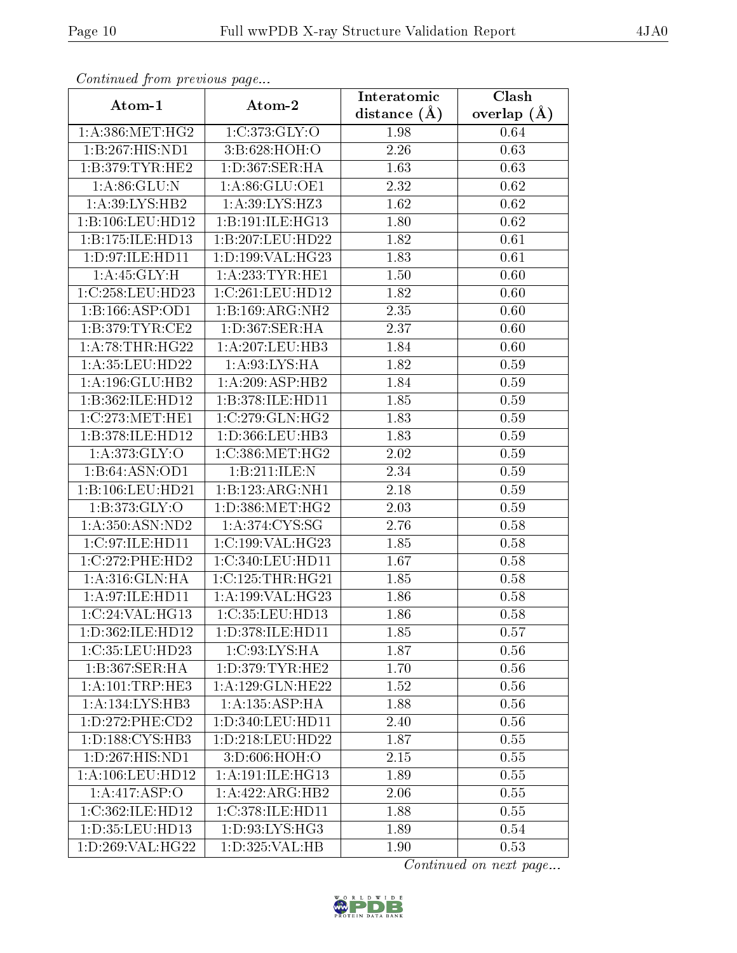| Continuea from previous page              |                       | Interatomic    | Clash         |
|-------------------------------------------|-----------------------|----------------|---------------|
| Atom-1                                    | Atom-2                | distance $(A)$ | overlap $(A)$ |
| 1: A: 386: MET:HG2                        | 1:C:373:GLY:O         | 1.98           | 0.64          |
| 1:B:267:HIS:ND1                           | 3:B:628:HOH:O         | 2.26           | 0.63          |
| 1:B:379:TYR:HE2                           | 1:D:367:SER:HA        | 1.63           | 0.63          |
| 1: A:86: GLU:N                            | 1:A:86:GLU:OE1        | 2.32           | 0.62          |
| 1: A:39: LYS: HB2                         | 1: A:39: LYS: HZ3     | 1.62           | 0.62          |
| 1:B:106:LEU:HD12                          | 1:B:191:ILE:HG13      | 1.80           | 0.62          |
| 1:B:175:ILE:HD13                          | 1:B:207:LEU:HD22      | 1.82           | 0.61          |
| 1: D: 97: ILE: HD11                       | 1:D:199:VAL:HG23      | 1.83           | 0.61          |
| 1: A:45: GLY:H                            | 1: A: 233: TYR: HE1   | 1.50           | 0.60          |
| 1:C:258:LEU:HD23                          | 1:C:261:LEU:HD12      | 1.82           | 0.60          |
| 1:B:166:ASP:OD1                           | 1:B:169:ARG:NH2       | 2.35           | 0.60          |
| 1: B:379: TYR: CE2                        | 1:D:367:SER:HA        | 2.37           | 0.60          |
| 1: A:78:THR:HG22                          | 1:A:207:LEU:HB3       | 1.84           | 0.60          |
| 1: A: 35: LEU: HD22                       | 1: A:93: LYS: HA      | 1.82           | 0.59          |
| 1:A:196:GLU:HB2                           | 1:A:209:ASP:HB2       | 1.84           | 0.59          |
| 1:B:362:ILE:HD12                          | 1:B:378:ILE:HD11      | 1.85           | 0.59          |
| 1:C:273:MET:HE1                           | 1:C:279:CLN:HG2       | 1.83           | 0.59          |
| 1:B:378:ILE:HD12                          | 1:D:366:LEU:HB3       | 1.83           | 0.59          |
| 1: A:373: GLY:O                           | 1:C:386:MET:HG2       | 2.02           | 0.59          |
| 1:B:64:ASN:OD1                            | 1:B:211:ILE:N         | 2.34           | 0.59          |
| 1:B:106:LEU:HD21                          | 1:B:123:ARG:NH1       | 2.18           | 0.59          |
| 1: B: 373: GLY:O                          | 1: D: 386: MET: HG2   | 2.03           | 0.59          |
| 1: A:350: ASN:ND2                         | 1: A:374: CYS:SG      | 2.76           | 0.58          |
| 1:C:97:ILE:HD11                           | 1:C:199:VAL:HG23      | 1.85           | 0.58          |
| 1:C:272:PHE:HD2                           | 1:C:340:LEU:HD11      | 1.67           | 0.58          |
| 1:A:316:GLN:HA                            | 1:C:125:THR:HG21      | 1.85           | 0.58          |
| 1: A:97: ILE: HD11                        | 1:A:199:VAL:HG23      | 1.86           | 0.58          |
| 1:C:24:VAL:HG13                           | 1:C:35:LEU:HD13       | 1.86           | 0.58          |
| 1:D:362:ILE:HD12                          | 1:D:378:ILE:HD11      | 1.85           | 0.57          |
| 1:C:35:LEU:HD23                           | 1:C:93:LYS:HA         | 1.87           | 0.56          |
| $1:B:367:\overline{\text{SER:H}\text{A}}$ | 1: D: 379: TYR: HE2   | 1.70           | 0.56          |
| 1:A:101:TRP:HE3                           | 1:A:129:GLN:HE22      | 1.52           | 0.56          |
| $1:A:134:\overline{\text{LYS:HB3}}$       | 1: A: 135: ASP: HA    | 1.88           | 0.56          |
| 1: D: 272: PHE: CD2                       | 1:D:340:LEU:HD11      | 2.40           | 0.56          |
| 1: D: 188: CYS: HB3                       | $1: D: 218:$ LEU:HD22 | 1.87           | 0.55          |
| 1: D: 267: HIS: ND1                       | 3:D:606:HOH:O         | 2.15           | 0.55          |
| 1: A: 106: LEU: HD12                      | 1:A:191:ILE:HG13      | 1.89           | 0.55          |
| 1:A:417:ASP:O                             | 1:A:422:ARG:HB2       | 2.06           | 0.55          |
| 1:C:362:ILE:HD12                          | 1:C:378:ILE:HD11      | 1.88           | 0.55          |
| 1:D:35:LEU:HD13                           | 1:D:93:LYS:HG3        | 1.89           | 0.54          |
| 1:D:269:VAL:HG22                          | 1:D:325:VAL:HB        | 1.90           | 0.53          |

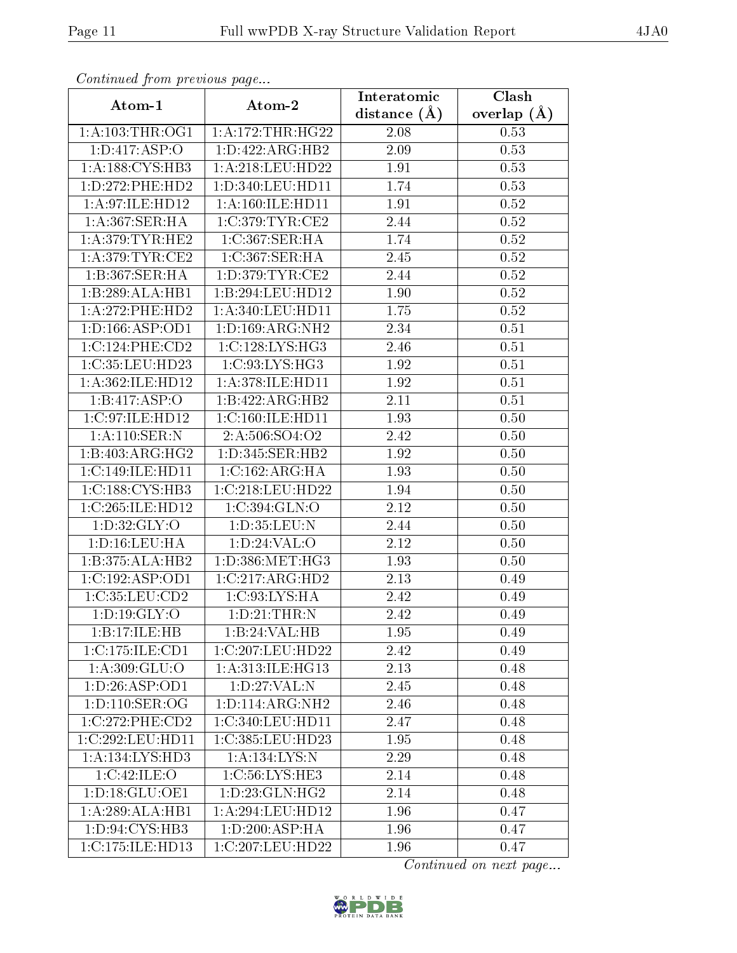| Continuea from previous page |                        | Interatomic    | Clash           |  |
|------------------------------|------------------------|----------------|-----------------|--|
| Atom-1                       | Atom-2                 | distance $(A)$ | overlap $(\AA)$ |  |
| 1: A:103:THR:OG1             | 1: A:172:THR:HG22      | 2.08           | 0.53            |  |
| 1: D: 417: ASP: O            | 1:D:422:ARG:HB2        | 2.09           | 0.53            |  |
| 1:A:188:CYS:HB3              | 1: A:218:LEU:HD22      | 1.91           | 0.53            |  |
| 1: D: 272: PHE: HD2          | 1:D:340:LEU:HD11       | 1.74           | 0.53            |  |
| 1: A:97: ILE: HD12           | 1: A: 160: ILE: HD11   | 1.91           | 0.52            |  |
| 1:A:367:SER:HA               | 1:C:379:TYR:CE2        | 2.44           | 0.52            |  |
| 1: A:379: TYR: HE2           | 1:C:367:SER:HA         | 1.74           | 0.52            |  |
| 1: A:379: TYR: CE2           | 1:C:367:SER:HA         | 2.45           | 0.52            |  |
| 1:B:367:SER:HA               | 1: D: 379: TYR: CE2    | 2.44           | 0.52            |  |
| 1:B:289:ALA:HB1              | 1:B:294:LEU:HD12       | 1.90           | 0.52            |  |
| 1:A:272:PHE:HD2              | 1: A:340: LEU: HD11    | 1.75           | 0.52            |  |
| 1: D: 166: ASP: OD1          | 1: D: 169: ARG: NH2    | 2.34           | 0.51            |  |
| 1:C:124:PHE:CD2              | 1:C:128:LYS:HG3        | 2.46           | 0.51            |  |
| 1:C:35:LEU:HD23              | 1: C:93: LYS: HG3      | 1.92           | 0.51            |  |
| 1:A:362:ILE:HD12             | 1:A:378:ILE:HD11       | 1.92           | 0.51            |  |
| 1:B:417:ASP:O                | 1:B:422:ARG:HB2        | 2.11           | 0.51            |  |
| 1:C:97:ILE:HD12              | 1:C:160:ILE:HD11       | 1.93           | 0.50            |  |
| 1: A:110: SER: N             | 2:A:506:SO4:O2         | 2.42           | 0.50            |  |
| 1:B:403:ARG:HG2              | 1:D:345:SER:HB2        | 1.92           | $0.50\,$        |  |
| 1:C:149:ILE:HD11             | 1:C:162:ARG:HA         | 1.93           | 0.50            |  |
| 1: C: 188: CYS: HB3          | 1:C:218:LEU:HD22       | 1.94           | 0.50            |  |
| 1:C:265:ILE:HD12             | 1:C:394:GLN:O          | 2.12           | 0.50            |  |
| 1: D:32: GLY:O               | 1:D:35:LEU:N           | 2.44           | 0.50            |  |
| 1: D: 16: LEU: HA            | 1: D:24:VAL:O          | 2.12           | 0.50            |  |
| 1:B:375:ALA:HB2              | $1: D: 386$ : MET: HG3 | 1.93           | 0.50            |  |
| 1:C:192:ASP:OD1              | 1:C:217:ARG:HD2        | 2.13           | 0.49            |  |
| 1:C:35:LEU:CD2               | 1:C:93:LYS:HA          | 2.42           | 0.49            |  |
| 1: D:19: GLY:O               | 1: D:21:THR:N          | 2.42           | 0.49            |  |
| 1:B:17:ILE:HB                | 1:B:24:VAL:HB          | 1.95           | 0.49            |  |
| 1:C:175:ILE:CD1              | 1:C:207:LEU:HD22       | 2.42           | 0.49            |  |
| 1: A: 309: GLU:O             | 1: A:313: ILE: HG13    | 2.13           | 0.48            |  |
| 1: D: 26: ASP: OD1           | 1: D: 27: VAL: N       | 2.45           | 0.48            |  |
| 1: D: 110: SER: OG           | 1: D: 114: ARG: NH2    | 2.46           | 0.48            |  |
| 1:C:272:PHE:CD2              | 1:C:340:LEU:HD11       | 2.47           | 0.48            |  |
| 1:C:292:LEU:HD11             | 1:C:385:LEU:HD23       | 1.95           | 0.48            |  |
| 1:A:134:LYS:HD3              | 1: A: 134: LYS: N      | 2.29           | 0.48            |  |
| 1:C:42:ILE:O                 | 1:C:56:LYS:HE3         | 2.14           | 0.48            |  |
| 1:D:18:GLU:OE1               | 1: D: 23: GLN: HG2     | 2.14           | 0.48            |  |
| 1:A:289:ALA:HB1              | 1: A:294:LEU:HD12      | 1.96           | 0.47            |  |
| 1:D:94:CYS:HB3               | 1: D:200: ASP:HA       | 1.96           | 0.47            |  |
| 1: C: 175: ILE: HD13         | 1:C:207:LEU:HD22       | 1.96           | 0.47            |  |

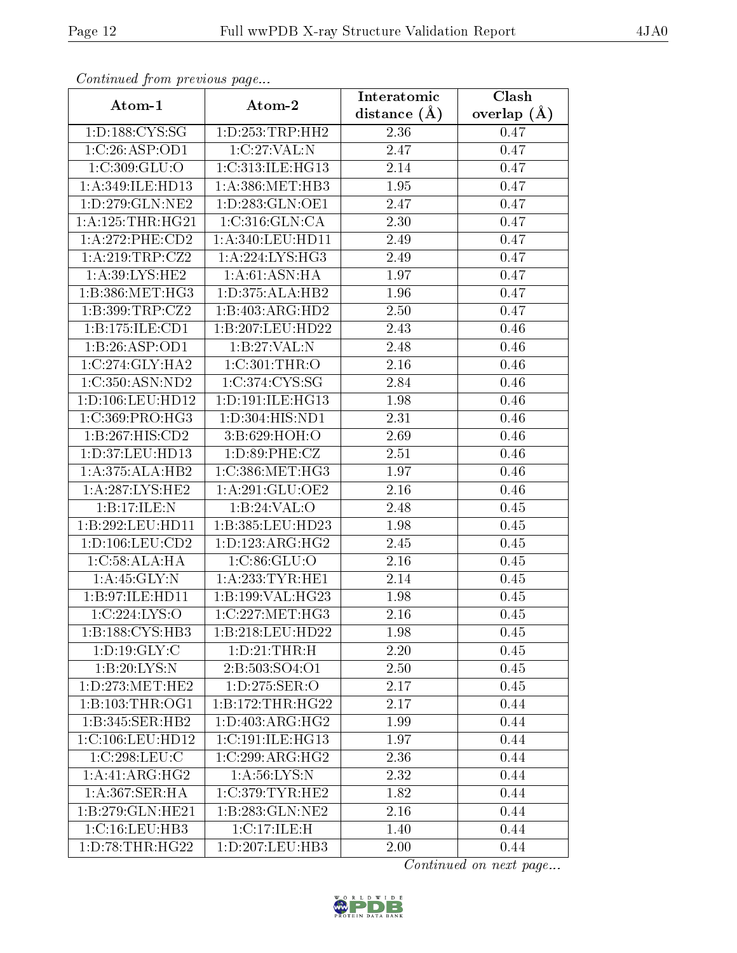| Comunaca jiom previous page |                                       | Interatomic    | Clash           |
|-----------------------------|---------------------------------------|----------------|-----------------|
| Atom-1                      | Atom-2                                | distance $(A)$ | overlap $(\AA)$ |
| 1:D:188:CYS:SG              | 1: D: 253: TRP: HH2                   | 2.36           | 0.47            |
| 1:C:26:ASP:OD1              | 1:C:27:VAL:N                          | 2.47           | 0.47            |
| 1:C:309:GLU:O               | 1:C:313:ILE:HG13                      | 2.14           | 0.47            |
| 1:A:349:ILE:HD13            | 1: A: 386: MET: HB3                   | 1.95           | 0.47            |
| 1: D: 279: GLN: NE2         | 1: D: 283: GLN: OE1                   | 2.47           | 0.47            |
| 1: A: 125: THR: HG21        | 1:C:316:GLN:CA                        | 2.30           | 0.47            |
| 1:A:272:PHE:CD2             | 1:A:340:LEU:HD11                      | 2.49           | 0.47            |
| 1:A:219:TRP:CZ2             | 1: A:224:LYS:HG3                      | 2.49           | 0.47            |
| 1: A:39: LYS: HE2           | 1:A:61:ASN:HA                         | 1.97           | 0.47            |
| 1:B:386:MET:HG3             | 1:D:375:ALA:HB2                       | 1.96           | 0.47            |
| 1:B:399:TRP:CZ2             | 1:B:403:ARG:HD2                       | 2.50           | 0.47            |
| 1:B:175:ILE:CD1             | 1:B:207:LEU:HD22                      | 2.43           | 0.46            |
| 1:B:26:ASP:OD1              | 1:B:27:VAL:N                          | 2.48           | 0.46            |
| 1:C:274:GLY:HA2             | 1: C:301:THR:O                        | 2.16           | 0.46            |
| 1:C:350:ASN:ND2             | 1:C:374:CYS:SG                        | 2.84           | 0.46            |
| 1: D: 106: LEU: HD12        | 1: D: 191: ILE: HG13                  | 1.98           | 0.46            |
| 1:C:369:PRO:HG3             | 1: D: 304: HIS: ND1                   | 2.31           | 0.46            |
| 1:B:267:HIS:CD2             | 3: B:629: HOH:O                       | 2.69           | 0.46            |
| 1:D:37:LEU:HD13             | 1: D:89: PHE: CZ                      | 2.51           | 0.46            |
| 1:A:375:ALA:HB2             | 1:C:386:MET:HG3                       | 1.97           | 0.46            |
| 1: A:287:LYS:HE2            | 1: A:291: GLU:OE2                     | 2.16           | 0.46            |
| 1:B:17:ILE:N                | 1:B:24:VAL:O                          | 2.48           | 0.45            |
| 1:B:292:LEU:HD11            | 1:B:385:LEU:HD23                      | 1.98           | 0.45            |
| 1: D: 106: LEU: CD2         | 1:D:123:ARG:HG2                       | 2.45           | 0.45            |
| 1:C:58:ALA:HA               | 1:C:86:GLU:O                          | 2.16           | 0.45            |
| 1: A: 45: GLY:N             | 1: A: 233: TYR: HE1                   | 2.14           | 0.45            |
| 1:B:97:ILE:HD11             | 1:B:199:VAL:HG23                      | 1.98           | 0.45            |
| 1:C:224:LYS:O               | $1:C:227:\overline{\mathrm{MET:HG3}}$ | 2.16           | 0.45            |
| 1: B: 188: CYS: HB3         | 1:B:218:LEU:HD22                      | 1.98           | 0.45            |
| 1: D: 19: GLY: C            | 1: D: 21: THR: H                      | 2.20           | 0.45            |
| 1:B:20:LYS:N                | 2:B:503:SO4:O1                        | 2.50           | 0.45            |
| 1: D: 273:MET:HE2           | $1: D: 275: SER: \overline{O}$        | 2.17           | 0.45            |
| 1: B: 103: THR: OG1         | 1:B:172:THR:HG22                      | 2.17           | 0.44            |
| 1:B:345:SER:HB2             | 1:D:403:ARG:HG2                       | 1.99           | 0.44            |
| 1:C:106:LEU:HD12            | 1:C:191:ILE:HG13                      | 1.97           | 0.44            |
| 1:C:298:LEU:C               | 1:C:299:ARG:HG2                       | 2.36           | 0.44            |
| 1:A:41:ARG:HG2              | 1: A:56: LYS:N                        | 2.32           | 0.44            |
| 1: A: 367: SER: HA          | 1:C:379:TYR:HE2                       | 1.82           | 0.44            |
| 1:B:279:GLN:HE21            | 1:B:283:GLN:NE2                       | 2.16           | 0.44            |
| 1:C:16:LEU:HB3              | 1:C:17:ILE:H                          | 1.40           | 0.44            |
| 1: D: 78: THR: HG22         | 1:D:207:LEU:HB3                       | 2.00           | 0.44            |

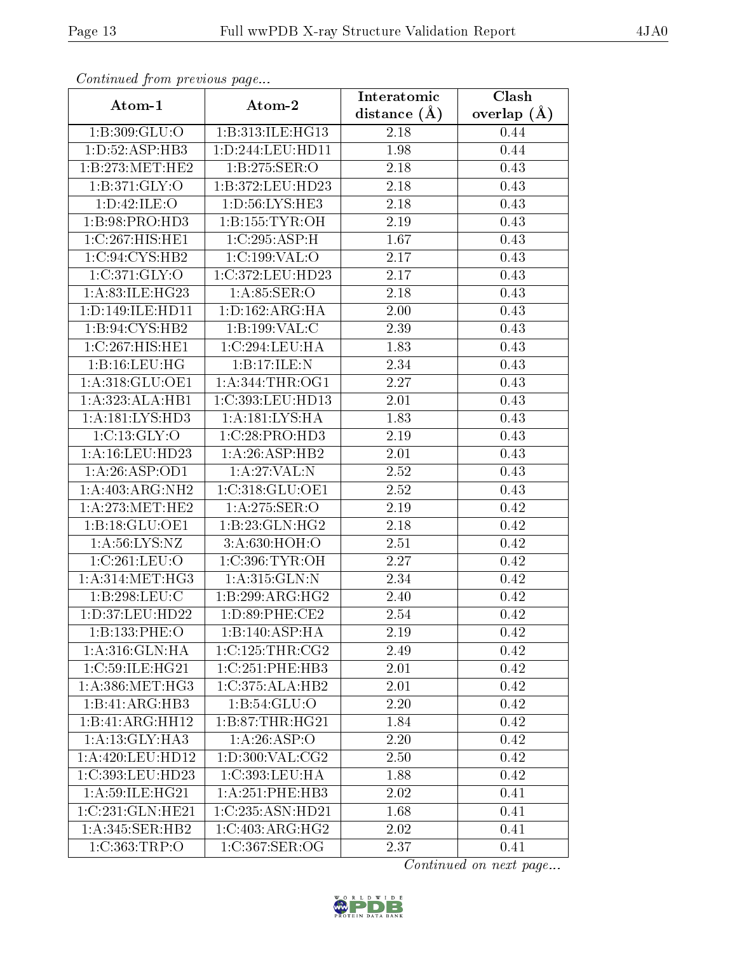| Continued from previous page  |                              | Interatomic    | Clash         |
|-------------------------------|------------------------------|----------------|---------------|
| Atom-1                        | Atom-2                       | distance $(A)$ | overlap $(A)$ |
| 1:B:309:GLU:O                 | 1:B:313:ILE:HG13             | 2.18           | 0.44          |
| $1: D:52: \overline{A}SP:HB3$ | 1: D: 244: LEU: HD11         | 1.98           | 0.44          |
| 1:B:273:MET:HE2               | 1:B:275:SER:O                | 2.18           | 0.43          |
| 1:B:371:GLY:O                 | 1:B:372:LEU:HD23             | 2.18           | 0.43          |
| 1:D:42:ILE:O                  | 1:D:56:LYS:HE3               | 2.18           | 0.43          |
| 1: B:98: PRO:HD3              | 1: B: 155: TYR: OH           | 2.19           | 0.43          |
| 1:C:267:HIS:HE1               | 1:C:295:ASP:H                | 1.67           | 0.43          |
| 1:C:94:CYS:HB2                | 1:C:199:VAL:O                | 2.17           | 0.43          |
| 1:C:371:GLY:O                 | 1:C:372:LEU:HD23             | 2.17           | 0.43          |
| 1:A:83:ILE:HG23               | 1: A:85: SER:O               | 2.18           | 0.43          |
| 1:D:149:ILE:HD11              | 1: D: 162: ARG: HA           | 2.00           | 0.43          |
| 1:B:94:CYS:HB2                | 1:B:199:VAL:C                | 2.39           | 0.43          |
| 1:C:267:HIS:HE1               | 1:C:294:LEU:HA               | 1.83           | 0.43          |
| 1:B:16:LEU:HG                 | 1:B:17:ILE:N                 | 2.34           | 0.43          |
| 1:A:318:GLU:OE1               | 1: A:344:THR:OG1             | 2.27           | 0.43          |
| 1:A:323:ALA:HB1               | 1:C:393:LEU:HD13             | 2.01           | 0.43          |
| 1:A:181:LYS:HD3               | 1: A: 181: LYS: HA           | 1.83           | 0.43          |
| 1:C:13:GLY:O                  | 1:C:28:PRO:HD3               | $2.19\,$       | 0.43          |
| 1: A: 16: LEU: HD23           | $1:A:26:A\overline{SP:HB2}$  | 2.01           | 0.43          |
| 1:A:26:ASP:OD1                | 1: A:27: VAL:N               | 2.52           | 0.43          |
| 1:A:403:ARG:NH2               | 1:C:318:GLU:OE1              | 2.52           | 0.43          |
| 1: A:273:MET:HE2              | 1:A:275:SER:O                | 2.19           | 0.42          |
| 1:B:18:GLU:OE1                | 1:B:23:GLN:HG2               | 2.18           | 0.42          |
| 1: A:56: LYS: NZ              | 3:A:630:HOH:O                | 2.51           | 0.42          |
| 1:C:261:LEU:O                 | 1:C:396:TYR:OH               | 2.27           | 0.42          |
| 1: A:314:MET:HG3              | 1:A:315:GLN:N                | 2.34           | 0.42          |
| 1:B:298:LEU:C                 | 1: B:299:ARG:HG2             | 2.40           | 0.42          |
| 1:D:37:LEU:HD22               | 1:D:89:PHE:CE2               | 2.54           | 0.42          |
| 1:B:133:PHE:O                 | 1:B:140:ASP:HA               | 2.19           | 0.42          |
| 1: A:316: GLN: HA             | 1:C:125:THR:CG2              | 2.49           | 0.42          |
| 1:C:59:ILE:HG21               | 1:C:251:PHE:HB3              | 2.01           | 0.42          |
| 1: A: 386: MET:HG3            | 1:C:375:ALA:HB2              | 2.01           | 0.42          |
| 1:B:41:ARG:HB3                | 1: B: 54: GLU: O             | 2.20           | 0.42          |
| 1:B:41:ARG:HH12               | 1: B:87:THR:HG21             | 1.84           | 0.42          |
| 1: A:13: GLY:HA3              | 1: A:26:ASP:O                | 2.20           | 0.42          |
| 1:A:420:LEU:HD12              | 1: D:300: VAL: CG2           | 2.50           | 0.42          |
| 1:C:393:LEU:HD23              | 1:C:393:LEU:HA               | 1.88           | 0.42          |
| 1: A:59: ILE: HG21            | $1:A:251:PHE:H\overline{B3}$ | 2.02           | 0.41          |
| 1:C:231:GLN:HE21              | 1:C:235:ASN:HD21             | 1.68           | 0.41          |
| $1:A:345:SER:H\overline{B2}$  | 1:C:403:ARG:HG2              | 2.02           | 0.41          |
| 1:C:363:TRP:O                 | 1:C:367:SER:OG               | 2.37           | 0.41          |

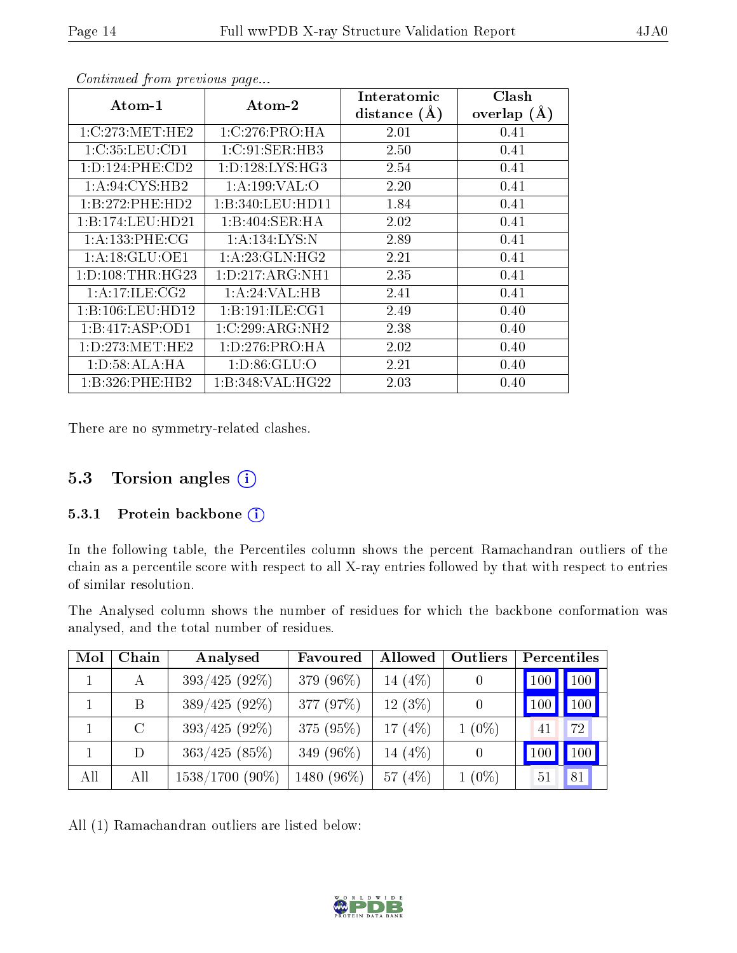| $\boldsymbol{\mathrm{Atom}\text{-}1}$ | Atom-2              | Interatomic    | Clash         |
|---------------------------------------|---------------------|----------------|---------------|
|                                       |                     | distance $(A)$ | overlap $(A)$ |
| 1:C:273:MET:HE2                       | 1:C:276:PRO:HA      | 2.01           | 0.41          |
| 1:C:35:LEU:CD1                        | 1:C:91:SER:HB3      | 2.50           | 0.41          |
| 1: D: 124: PHE: CD2                   | 1: D: 128: LYS: HG3 | 2.54           | 0.41          |
| 1:A:94:CYS:HB2                        | 1:A:199:VAL:O       | 2.20           | 0.41          |
| 1:B:272:PHE:HD2                       | 1:B:340:LEU:HD11    | 1.84           | 0.41          |
| 1:B:174:LEU:HD21                      | 1:B:404:SER:HA      | 2.02           | 0.41          |
| 1: A: 133: PHE: CG                    | 1:A:134:LYS:N       | 2.89           | 0.41          |
| 1: A:18: GLU:OE1                      | 1: A:23: GLN: HG2   | 2.21           | 0.41          |
| 1: D: 108: THR: HG23                  | 1:D:217:ARG:NH1     | 2.35           | 0.41          |
| 1: A:17: ILE: CG2                     | 1: A:24:VAL:HB      | 2.41           | 0.41          |
| 1:B:106:LEU:HD12                      | 1:B:191:ILE:CG1     | 2.49           | 0.40          |
| 1:B:417:ASP:OD1                       | 1:C:299:ARG:NH2     | 2.38           | 0.40          |
| 1: D: 273: MET: HE2                   | 1: D: 276: PRO: HA  | 2.02           | 0.40          |
| 1:D:58:ALA:HA                         | 1: D:86: GLU:O      | 2.21           | 0.40          |
| 1:B:326:PHE:HB2                       | 1:B:348:VAL:HG22    | 2.03           | 0.40          |

There are no symmetry-related clashes.

### 5.3 Torsion angles (i)

#### 5.3.1 Protein backbone (i)

In the following table, the Percentiles column shows the percent Ramachandran outliers of the chain as a percentile score with respect to all X-ray entries followed by that with respect to entries of similar resolution.

The Analysed column shows the number of residues for which the backbone conformation was analysed, and the total number of residues.

| Mol | Chain   | Analysed          | Favoured   | Allowed   | Outliers       | Percentiles |     |
|-----|---------|-------------------|------------|-----------|----------------|-------------|-----|
|     | A       | $393/425(92\%)$   | 379 (96%)  | 14 $(4%)$ | $\overline{0}$ | 100         | 100 |
|     | B       | $389/425(92\%)$   | 377 (97%)  | $12(3\%)$ |                | 100         | 100 |
|     | $\rm C$ | $393/425(92\%)$   | 375 (95%)  | 17 $(4%)$ | $1(0\%)$       | 41          | 72  |
|     | D       | 363/425(85%)      | 349 (96%)  | 14 (4\%)  | $\overline{0}$ | 100         | 100 |
| All | All     | $1538/1700$ (90%) | 1480 (96%) | 57 $(4%)$ | $1(0\%)$       | 51          | 81  |

All (1) Ramachandran outliers are listed below:

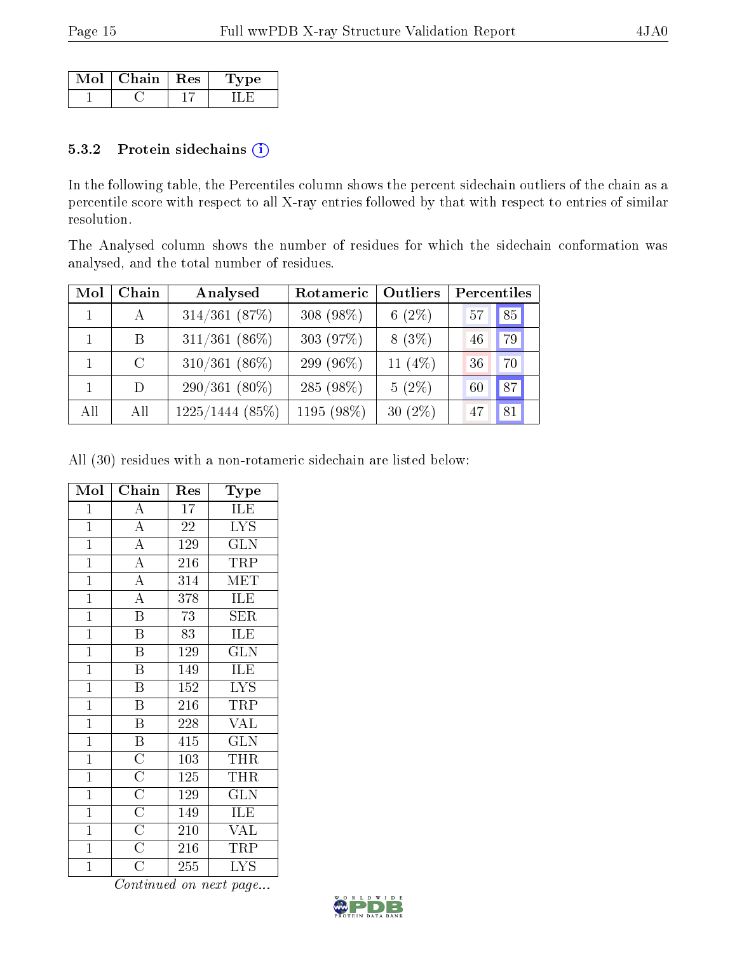| Mol | $\mid$ Chain $\mid$ Res | vpe |
|-----|-------------------------|-----|
|     |                         |     |

#### 5.3.2 Protein sidechains (i)

In the following table, the Percentiles column shows the percent sidechain outliers of the chain as a percentile score with respect to all X-ray entries followed by that with respect to entries of similar resolution.

The Analysed column shows the number of residues for which the sidechain conformation was analysed, and the total number of residues.

| Mol | Chain         | Analysed          | Rotameric    | Outliers   | Percentiles |
|-----|---------------|-------------------|--------------|------------|-------------|
|     | A             | $314/361$ (87%)   | 308 $(98\%)$ | 6 $(2%)$   | 85<br>57    |
|     | <sub>B</sub>  | $311/361(86\%)$   | 303 (97%)    | $8(3\%)$   | 79<br>46    |
|     | $\mathcal{C}$ | $310/361(86\%)$   | 299 (96%)    | 11 $(4\%)$ | 70<br>36    |
|     | D             | $290/361(80\%)$   | 285 (98%)    | $5(2\%)$   | 87<br>60    |
| All | All           | $1225/1444$ (85%) | 1195 (98%)   | $30(2\%)$  | 81<br>47    |

All (30) residues with a non-rotameric sidechain are listed below:

| Mol            | Chain                                                                                                                   | Res               | Type                                    |
|----------------|-------------------------------------------------------------------------------------------------------------------------|-------------------|-----------------------------------------|
| $\mathbf{1}$   | $\boldsymbol{A}$                                                                                                        | 17                | ILE                                     |
| $\mathbf{1}$   | $\overline{A}$                                                                                                          | 22                | $\overline{\text{LYS}}$                 |
| $\overline{1}$ | $\overline{A}$                                                                                                          | 129               | $\overline{\text{GLN}}$                 |
| $\overline{1}$ | $\frac{\overline{A}}{\overline{A}}$                                                                                     | 216               | <b>TRP</b>                              |
| $\overline{1}$ |                                                                                                                         | 314               | <b>MET</b>                              |
| $\overline{1}$ | $\overline{A}$                                                                                                          | 378               | ILE                                     |
| $\mathbf{1}$   | $\overline{\mathbf{B}}$                                                                                                 | 73                | SER                                     |
| $\overline{1}$ | $\overline{B}$                                                                                                          | 83                | ILE                                     |
| $\overline{1}$ | $\overline{\mathbf{B}}$                                                                                                 | $\overline{1}29$  | $\overline{\text{GLN}}$                 |
| $\mathbf{1}$   | $\overline{\mathrm{B}}$                                                                                                 | $\overline{1}$ 49 | ILE                                     |
| $\overline{1}$ | $\overline{\text{B}}$                                                                                                   | 152               | $\overline{\text{LYS}}$                 |
| $\overline{1}$ | $\overline{\mathbf{B}}$                                                                                                 | 216               | TRP                                     |
| $\mathbf{1}$   | $\overline{\mathrm{B}}$                                                                                                 | 228               | <b>VAL</b>                              |
| $\overline{1}$ |                                                                                                                         | 415               | $\overline{\text{GLN}}$                 |
| $\mathbf{1}$   |                                                                                                                         | 103               | THR                                     |
| $\overline{1}$ |                                                                                                                         | $\overline{125}$  | $\overline{\text{THR}}$                 |
| $\overline{1}$ |                                                                                                                         | 129               | $\overline{\text{GLN}}$                 |
| $\mathbf{1}$   | $\overline{B}$ $\overline{C}$ $\overline{C}$ $\overline{C}$ $\overline{C}$ $\overline{C}$ $\overline{C}$ $\overline{C}$ | 149               | ILE                                     |
| $\overline{1}$ |                                                                                                                         | 210               | $\overline{\text{VAL}}$                 |
| $\mathbf{1}$   |                                                                                                                         | 216               | $\overline{\text{TRP}}$                 |
| $\mathbf 1$    | $\overline{\rm C}$                                                                                                      | 255               | $\overline{\text{L} \text{Y}} \text{S}$ |

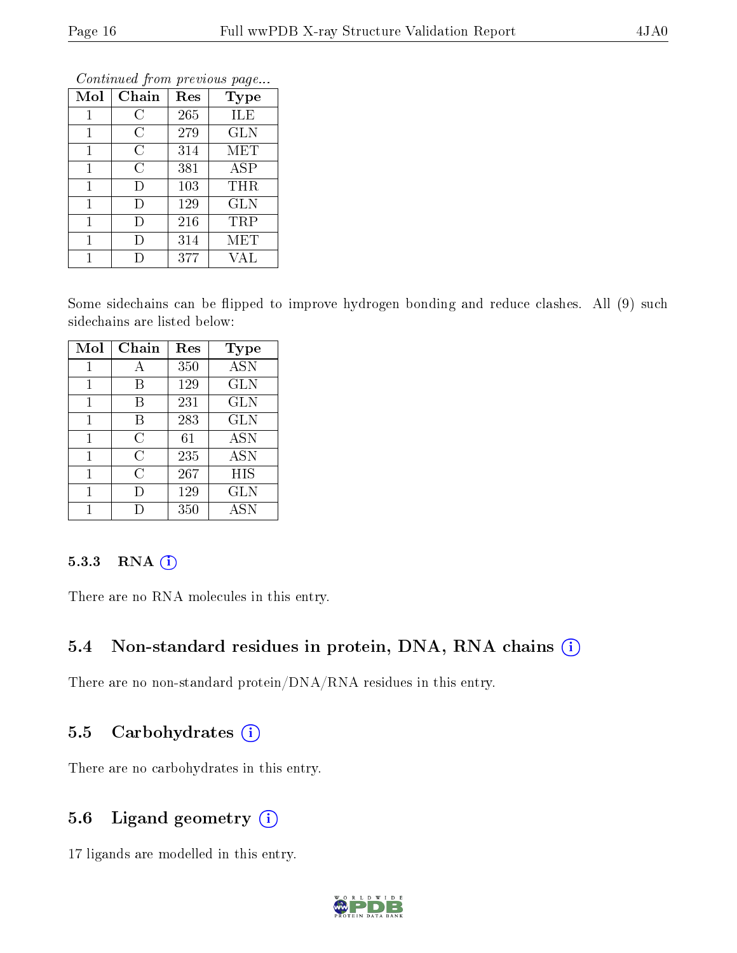| Mol | Chain | Res | <b>Type</b> |
|-----|-------|-----|-------------|
| 1   | C     | 265 | ILE         |
| 1   | C     | 279 | <b>GLN</b>  |
| 1   | С     | 314 | MET         |
| 1   | C     | 381 | ASP         |
| 1   | D     | 103 | THR         |
| 1   | D     | 129 | GLN         |
| 1   | D     | 216 | TRP         |
| 1   | D     | 314 | MET         |
|     |       | 377 | VAL         |

Some sidechains can be flipped to improve hydrogen bonding and reduce clashes. All (9) such sidechains are listed below:

| Mol | Chain | Res | <b>Type</b> |
|-----|-------|-----|-------------|
| 1   | А     | 350 | <b>ASN</b>  |
| 1   | В     | 129 | <b>GLN</b>  |
| 1   | В     | 231 | <b>GLN</b>  |
| 1   | B     | 283 | <b>GLN</b>  |
| 1   | С     | 61  | <b>ASN</b>  |
| 1   | С     | 235 | <b>ASN</b>  |
| 1   | C     | 267 | HIS         |
| 1   | Ð     | 129 | GLN         |
|     |       | 350 | ASN         |

#### 5.3.3 RNA (i)

There are no RNA molecules in this entry.

### 5.4 Non-standard residues in protein, DNA, RNA chains (i)

There are no non-standard protein/DNA/RNA residues in this entry.

### 5.5 Carbohydrates  $(i)$

There are no carbohydrates in this entry.

### 5.6 Ligand geometry (i)

17 ligands are modelled in this entry.

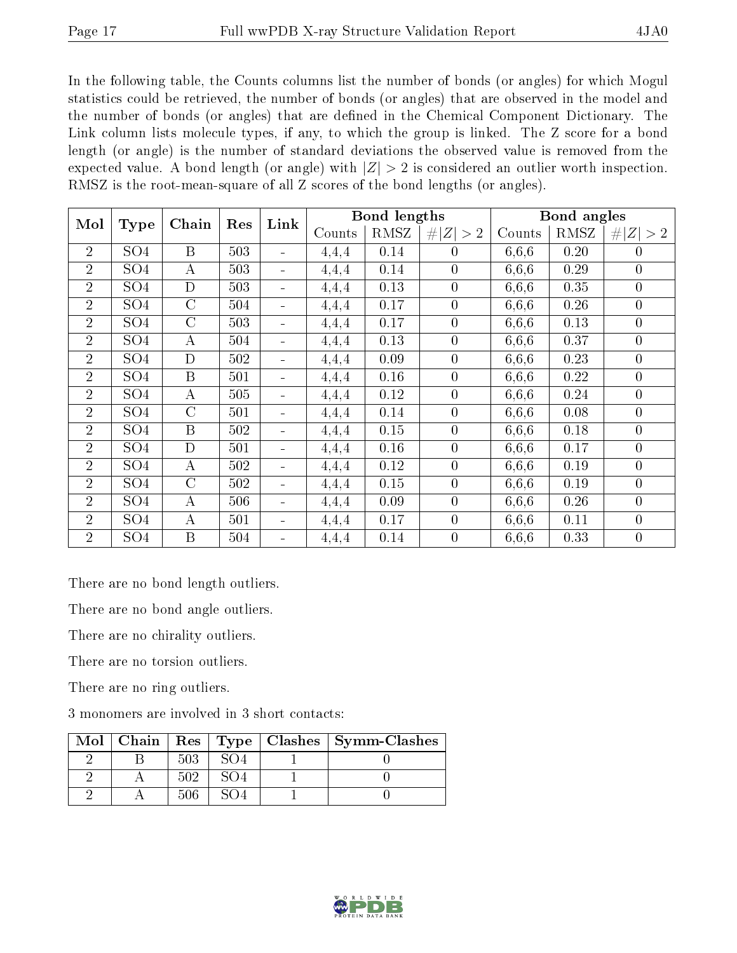In the following table, the Counts columns list the number of bonds (or angles) for which Mogul statistics could be retrieved, the number of bonds (or angles) that are observed in the model and the number of bonds (or angles) that are dened in the Chemical Component Dictionary. The Link column lists molecule types, if any, to which the group is linked. The Z score for a bond length (or angle) is the number of standard deviations the observed value is removed from the expected value. A bond length (or angle) with  $|Z| > 2$  is considered an outlier worth inspection. RMSZ is the root-mean-square of all Z scores of the bond lengths (or angles).

| Mol            | <b>Type</b>      |                  | Chain<br>Res | Link                         |        | Bond lengths |                  |        | Bond angles |                  |  |
|----------------|------------------|------------------|--------------|------------------------------|--------|--------------|------------------|--------|-------------|------------------|--|
|                |                  |                  |              |                              | Counts | RMSZ         | # $ Z  > 2$      | Counts | RMSZ        | # $ Z  > 2$      |  |
| $\overline{2}$ | SO <sub>4</sub>  | B                | 503          | $\sim$                       | 4,4,4  | 0.14         | $\theta$         | 6,6,6  | 0.20        | $\overline{0}$   |  |
| $\overline{2}$ | SO <sub>4</sub>  | A                | 503          | $\blacksquare$               | 4,4,4  | 0.14         | $\overline{0}$   | 6,6,6  | $0.29\,$    | $\boldsymbol{0}$ |  |
| $\overline{2}$ | SO <sub>4</sub>  | D                | 503          | $\blacksquare$               | 4,4,4  | 0.13         | $\boldsymbol{0}$ | 6,6,6  | 0.35        | $\boldsymbol{0}$ |  |
| $\overline{2}$ | SO <sub>4</sub>  | $\mathcal{C}$    | 504          |                              | 4,4,4  | 0.17         | $\boldsymbol{0}$ | 6,6,6  | 0.26        | $\overline{0}$   |  |
| $\overline{2}$ | SO <sub>4</sub>  | $\overline{C}$   | 503          | $\blacksquare$               | 4,4,4  | 0.17         | $\boldsymbol{0}$ | 6,6,6  | 0.13        | $\boldsymbol{0}$ |  |
| $\overline{2}$ | SO <sub>4</sub>  | А                | 504          | $\blacksquare$               | 4,4,4  | 0.13         | $\overline{0}$   | 6,6,6  | 0.37        | $\boldsymbol{0}$ |  |
| $\overline{2}$ | $\overline{SO4}$ | $\overline{D}$   | 502          | $\blacksquare$               | 4,4,4  | 0.09         | $\overline{0}$   | 6,6,6  | 0.23        | $\overline{0}$   |  |
| $\overline{2}$ | SO <sub>4</sub>  | $\overline{B}$   | 501          | $\blacksquare$               | 4,4,4  | 0.16         | $\overline{0}$   | 6,6,6  | 0.22        | $\overline{0}$   |  |
| $\overline{2}$ | SO <sub>4</sub>  | А                | 505          |                              | 4,4,4  | 0.12         | $\overline{0}$   | 6,6,6  | 0.24        | $\overline{0}$   |  |
| $\overline{2}$ | SO <sub>4</sub>  | $\overline{C}$   | 501          | $\qquad \qquad \blacksquare$ | 4,4,4  | 0.14         | $\overline{0}$   | 6,6,6  | 0.08        | $\boldsymbol{0}$ |  |
| $\overline{2}$ | SO <sub>4</sub>  | $\boldsymbol{B}$ | 502          | $\blacksquare$               | 4,4,4  | 0.15         | $\overline{0}$   | 6,6,6  | 0.18        | $\overline{0}$   |  |
| $\overline{2}$ | SO <sub>4</sub>  | D                | 501          | $\equiv$                     | 4,4,4  | 0.16         | $\overline{0}$   | 6,6,6  | 0.17        | $\overline{0}$   |  |
| $\overline{2}$ | SO <sub>4</sub>  | А                | 502          | $\blacksquare$               | 4,4,4  | 0.12         | $\overline{0}$   | 6,6,6  | 0.19        | $\overline{0}$   |  |
| $\overline{2}$ | $\overline{SO4}$ | $\overline{C}$   | 502          | $\blacksquare$               | 4,4,4  | 0.15         | $\overline{0}$   | 6,6,6  | 0.19        | $\overline{0}$   |  |
| $\overline{2}$ | SO <sub>4</sub>  | $\boldsymbol{A}$ | 506          | $\blacksquare$               | 4,4,4  | 0.09         | $\overline{0}$   | 6,6,6  | 0.26        | $\overline{0}$   |  |
| $\overline{2}$ | SO <sub>4</sub>  | $\boldsymbol{A}$ | 501          | $\overline{\phantom{a}}$     | 4,4,4  | 0.17         | $\theta$         | 6,6,6  | 0.11        | $\overline{0}$   |  |
| $\overline{2}$ | SO <sub>4</sub>  | B                | 504          | $\qquad \qquad \blacksquare$ | 4,4,4  | 0.14         | $\overline{0}$   | 6,6,6  | 0.33        | $\overline{0}$   |  |

There are no bond length outliers.

There are no bond angle outliers.

There are no chirality outliers.

There are no torsion outliers.

There are no ring outliers.

3 monomers are involved in 3 short contacts:

|  |     |  | $\text{Mol}$   Chain   Res   Type   Clashes   Symm-Clashes |
|--|-----|--|------------------------------------------------------------|
|  | 503 |  |                                                            |
|  | 502 |  |                                                            |
|  | 506 |  |                                                            |

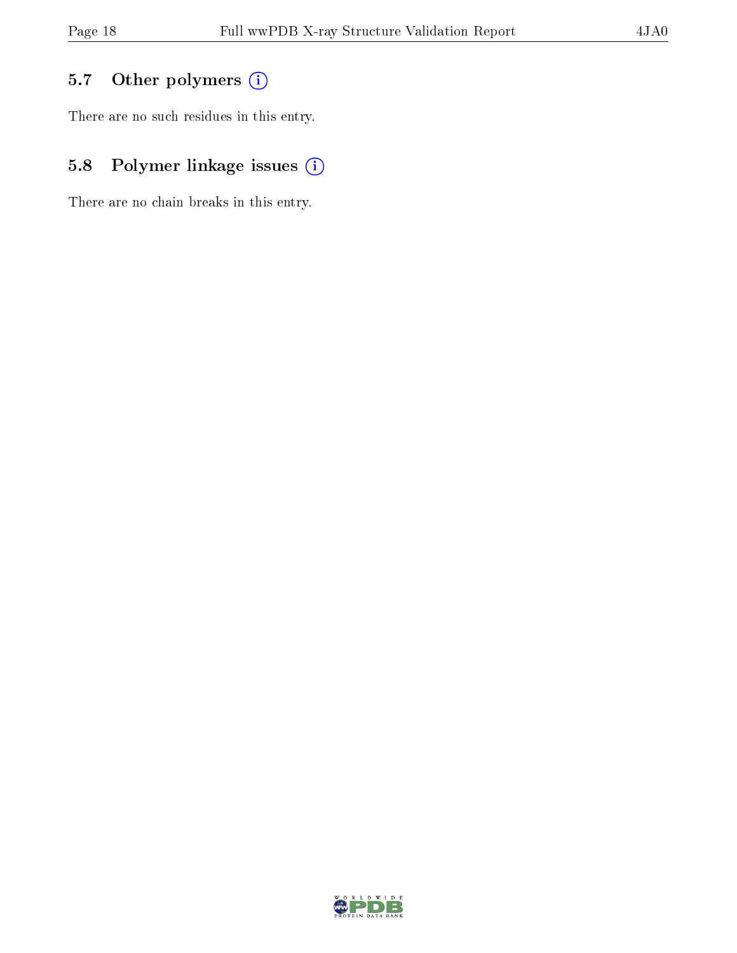### 5.7 [O](https://www.wwpdb.org/validation/2017/XrayValidationReportHelp#nonstandard_residues_and_ligands)ther polymers (i)

There are no such residues in this entry.

### 5.8 Polymer linkage issues (i)

There are no chain breaks in this entry.

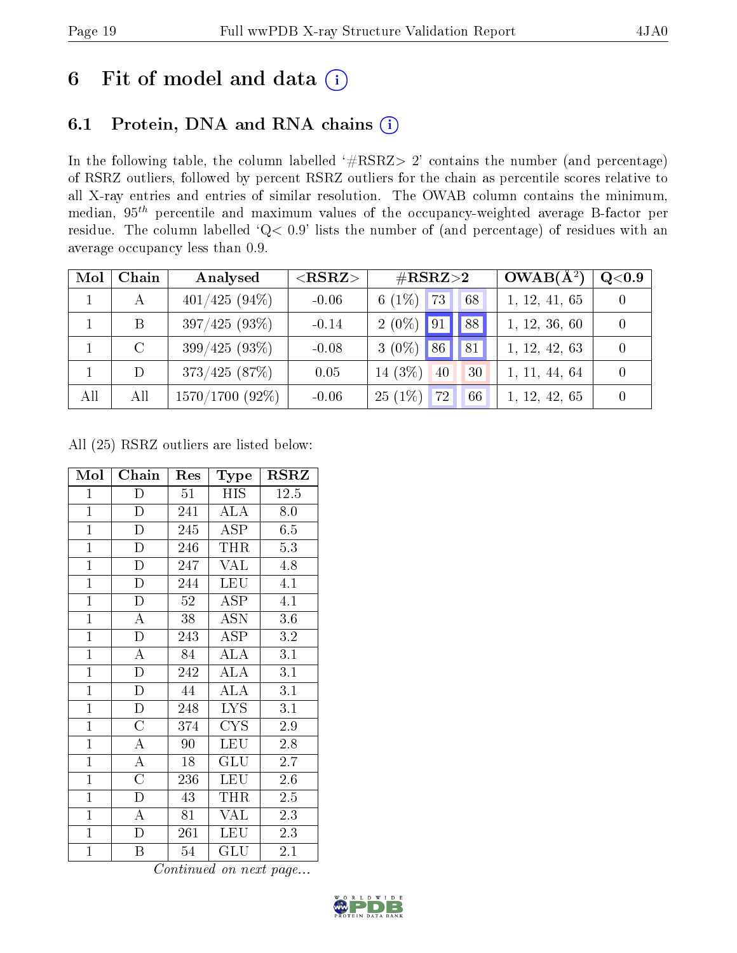# 6 Fit of model and data  $(i)$

# 6.1 Protein, DNA and RNA chains  $(i)$

In the following table, the column labelled  $#RSRZ> 2'$  contains the number (and percentage) of RSRZ outliers, followed by percent RSRZ outliers for the chain as percentile scores relative to all X-ray entries and entries of similar resolution. The OWAB column contains the minimum, median,  $95<sup>th</sup>$  percentile and maximum values of the occupancy-weighted average B-factor per residue. The column labelled ' $Q< 0.9$ ' lists the number of (and percentage) of residues with an average occupancy less than 0.9.

| Mol | Chain | Analysed          | $<$ RSRZ $>$ | $\#\text{RSRZ}\text{>2}$      | $OWAB(A^2)$   | Q <sub>0.9</sub> |
|-----|-------|-------------------|--------------|-------------------------------|---------------|------------------|
|     |       | $401/425(94\%)$   | $-0.06$      | 6 $(1\%)$<br> 73 <br>68       | 1, 12, 41, 65 |                  |
|     | B     | $397/425(93\%)$   | $-0.14$      | $2(0\%)$ 91<br>88             | 1, 12, 36, 60 | $\Omega$         |
|     |       | $399/425(93\%)$   | $-0.08$      | $3(0\%)$<br>$186^\circ$<br>81 | 1, 12, 42, 63 | $\bigcap$        |
|     | D     | 373/425(87%)      | 0.05         | 14 $(3\%)$<br>40<br>30        | 1, 11, 44, 64 | $\theta$         |
| All | All   | $1570/1700$ (92%) | $-0.06$      | $25(1\%)$<br>72<br>66         | 1, 12, 42, 65 |                  |

All (25) RSRZ outliers are listed below:

| Mol            | Chain              | Res | Type                 | $_{\rm RSRZ}$ |
|----------------|--------------------|-----|----------------------|---------------|
| $\mathbf{1}$   | D                  | 51  | HIS                  | 12.5          |
| $\mathbf{1}$   | $\overline{\rm D}$ | 241 | <b>ALA</b>           | 8.0           |
| $\mathbf{1}$   | $\mathbf D$        | 245 | <b>ASP</b>           | 6.5           |
| $\mathbf{1}$   | D                  | 246 | THR                  | 5.3           |
| $\overline{1}$ | $\overline{\rm D}$ | 247 | <b>VAL</b>           | 4.8           |
| $\overline{1}$ | D                  | 244 | <b>LEU</b>           | 4.1           |
| $\mathbf{1}$   | D                  | 52  | ASP                  | 4.1           |
| $\mathbf{1}$   | A                  | 38  | ASN                  | 3.6           |
| $\overline{1}$ | $\overline{\rm D}$ | 243 | $\overline{A}$ SP    | 3.2           |
| $\overline{1}$ | $\overline{\rm A}$ | 84  | $\rm AL\bar{A}$      | 3.1           |
| $\overline{1}$ | $\mathbf{D}$       | 242 | ALA                  | 3.1           |
| $\overline{1}$ | $\overline{\rm D}$ | 44  | $\overline{\rm ALA}$ | 3.1           |
| $\mathbf{1}$   | $\mathbf{D}$       | 248 | <b>LYS</b>           | 3.1           |
| $\mathbf{1}$   | $\overline{C}$     | 374 | <b>CYS</b>           | 2.9           |
| $\overline{1}$ | $\overline{\rm A}$ | 90  | LEU                  | 2.8           |
| $\overline{1}$ | $\overline{A}$     | 18  | <b>GLU</b>           | 2.7           |
| $\overline{1}$ | $\overline{\rm C}$ | 236 | LEU                  | 2.6           |
| $\mathbf{1}$   | D                  | 43  | THR                  | $2.5\,$       |
| $\mathbf{1}$   | $\mathbf{A}$       | 81  | <b>VAL</b>           | 2.3           |
| $\mathbf{1}$   | $\mathbf D$        | 261 | <b>LEU</b>           | 2.3           |
| $\mathbf{1}$   | B                  | 54  | GLU                  | 2.1           |

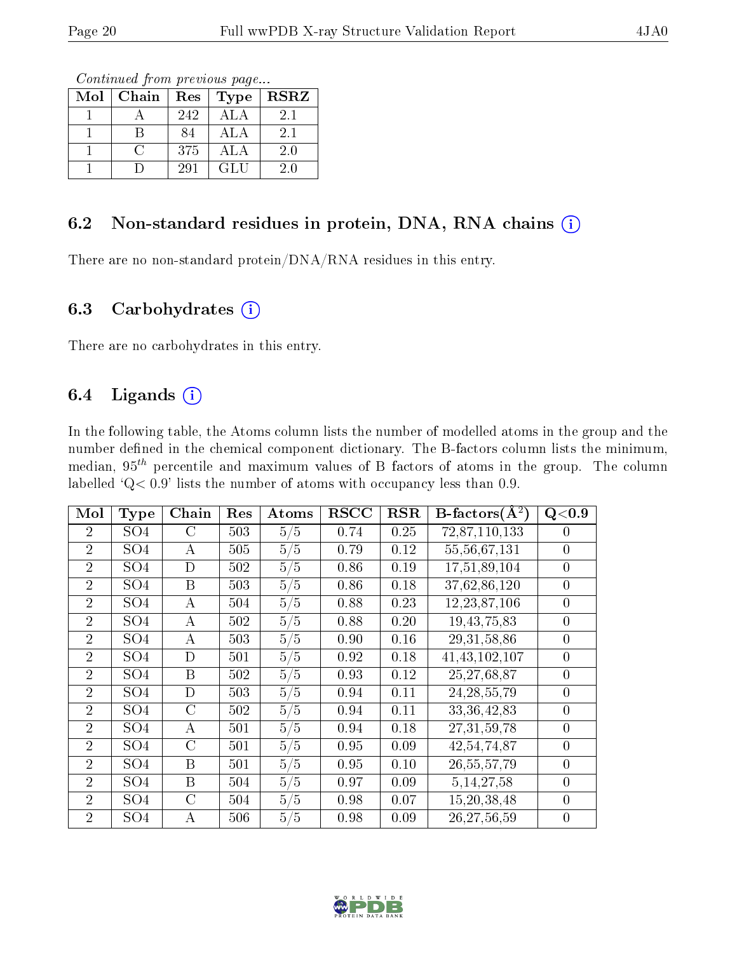Continued from previous page...

| Mol | Chain | Res | Type       | <b>RSRZ</b> |
|-----|-------|-----|------------|-------------|
|     |       | 242 | ALA        | 2.1         |
|     |       | 84  | ALA        | 2.1         |
|     |       | 375 | ALA        | 2.0         |
|     |       | 291 | <b>GLU</b> | 20          |

### 6.2 Non-standard residues in protein, DNA, RNA chains  $(i)$

There are no non-standard protein/DNA/RNA residues in this entry.

#### 6.3 Carbohydrates  $(i)$

There are no carbohydrates in this entry.

### 6.4 Ligands  $(i)$

In the following table, the Atoms column lists the number of modelled atoms in the group and the number defined in the chemical component dictionary. The B-factors column lists the minimum, median,  $95<sup>th</sup>$  percentile and maximum values of B factors of atoms in the group. The column labelled  $Q < 0.9$ ' lists the number of atoms with occupancy less than 0.9.

| Mol            | <b>Type</b>     | Chain            | Res | Atoms | $\overline{\text{RSCC}}$ | RSR  | $B\text{-factors}(\AA^2)$ | Q<0.9          |
|----------------|-----------------|------------------|-----|-------|--------------------------|------|---------------------------|----------------|
| $\overline{2}$ | SO4             | C                | 503 | 5/5   | 0.74                     | 0.25 | 72,87,110,133             | $\theta$       |
| $\overline{2}$ | SO <sub>4</sub> | А                | 505 | 5/5   | 0.79                     | 0.12 | 55, 56, 67, 131           | $\theta$       |
| $\overline{2}$ | SO <sub>4</sub> | D                | 502 | 5/5   | 0.86                     | 0.19 | 17,51,89,104              | $\theta$       |
| $\overline{2}$ | SO <sub>4</sub> | B                | 503 | 5/5   | 0.86                     | 0.18 | 37,62,86,120              | $\theta$       |
| $\overline{2}$ | SO <sub>4</sub> | А                | 504 | 5/5   | 0.88                     | 0.23 | 12, 23, 87, 106           | $\theta$       |
| $\overline{2}$ | SO <sub>4</sub> | A                | 502 | 5/5   | 0.88                     | 0.20 | 19, 43, 75, 83            | $\theta$       |
| $\overline{2}$ | SO <sub>4</sub> | A                | 503 | 5/5   | 0.90                     | 0.16 | 29, 31, 58, 86            | $\theta$       |
| $\overline{2}$ | SO <sub>4</sub> | D                | 501 | 5/5   | 0.92                     | 0.18 | 41, 43, 102, 107          | $\theta$       |
| $\overline{2}$ | SO <sub>4</sub> | B                | 502 | 5/5   | 0.93                     | 0.12 | 25,27,68,87               | $\overline{0}$ |
| $\overline{2}$ | SO <sub>4</sub> | D                | 503 | 5/5   | 0.94                     | 0.11 | 24, 28, 55, 79            | $\overline{0}$ |
| $\overline{2}$ | SO <sub>4</sub> | $\rm C$          | 502 | 5/5   | 0.94                     | 0.11 | 33, 36, 42, 83            | $\theta$       |
| $\overline{2}$ | SO <sub>4</sub> | $\boldsymbol{A}$ | 501 | 5/5   | 0.94                     | 0.18 | 27, 31, 59, 78            | $\overline{0}$ |
| $\overline{2}$ | SO <sub>4</sub> | $\rm C$          | 501 | 5/5   | 0.95                     | 0.09 | $\overline{42,54,74,87}$  | $\theta$       |
| $\overline{2}$ | SO <sub>4</sub> | B                | 501 | 5/5   | 0.95                     | 0.10 | 26, 55, 57, 79            | $\theta$       |
| $\overline{2}$ | SO <sub>4</sub> | B                | 504 | 5/5   | 0.97                     | 0.09 | 5, 14, 27, 58             | $\theta$       |
| $\overline{2}$ | SO <sub>4</sub> | $\rm C$          | 504 | 5/5   | 0.98                     | 0.07 | 15,20,38,48               | $\theta$       |
| $\overline{2}$ | SO <sub>4</sub> | А                | 506 | 5/5   | 0.98                     | 0.09 | 26, 27, 56, 59            | $\theta$       |